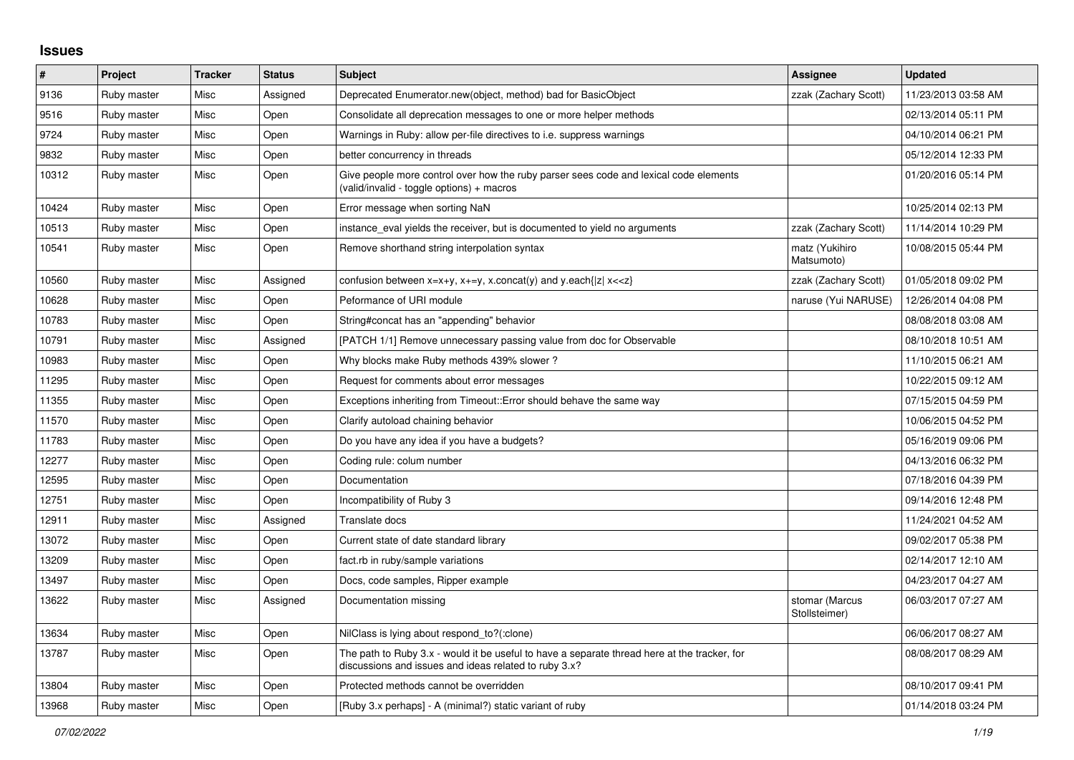## **Issues**

| #     | Project     | <b>Tracker</b> | <b>Status</b> | <b>Subject</b>                                                                                                                                        | Assignee                        | <b>Updated</b>      |
|-------|-------------|----------------|---------------|-------------------------------------------------------------------------------------------------------------------------------------------------------|---------------------------------|---------------------|
| 9136  | Ruby master | Misc           | Assigned      | Deprecated Enumerator.new(object, method) bad for BasicObject                                                                                         | zzak (Zachary Scott)            | 11/23/2013 03:58 AM |
| 9516  | Ruby master | Misc           | Open          | Consolidate all deprecation messages to one or more helper methods                                                                                    |                                 | 02/13/2014 05:11 PM |
| 9724  | Ruby master | Misc           | Open          | Warnings in Ruby: allow per-file directives to i.e. suppress warnings                                                                                 |                                 | 04/10/2014 06:21 PM |
| 9832  | Ruby master | Misc           | Open          | better concurrency in threads                                                                                                                         |                                 | 05/12/2014 12:33 PM |
| 10312 | Ruby master | Misc           | Open          | Give people more control over how the ruby parser sees code and lexical code elements<br>(valid/invalid - toggle options) + macros                    |                                 | 01/20/2016 05:14 PM |
| 10424 | Ruby master | Misc           | Open          | Error message when sorting NaN                                                                                                                        |                                 | 10/25/2014 02:13 PM |
| 10513 | Ruby master | Misc           | Open          | instance_eval yields the receiver, but is documented to yield no arguments                                                                            | zzak (Zachary Scott)            | 11/14/2014 10:29 PM |
| 10541 | Ruby master | Misc           | Open          | Remove shorthand string interpolation syntax                                                                                                          | matz (Yukihiro<br>Matsumoto)    | 10/08/2015 05:44 PM |
| 10560 | Ruby master | Misc           | Assigned      | confusion between x=x+y, x+=y, x.concat(y) and y.each{ z  x< <z}< td=""><td>zzak (Zachary Scott)</td><td>01/05/2018 09:02 PM</td></z}<>               | zzak (Zachary Scott)            | 01/05/2018 09:02 PM |
| 10628 | Ruby master | Misc           | Open          | Peformance of URI module                                                                                                                              | naruse (Yui NARUSE)             | 12/26/2014 04:08 PM |
| 10783 | Ruby master | Misc           | Open          | String#concat has an "appending" behavior                                                                                                             |                                 | 08/08/2018 03:08 AM |
| 10791 | Ruby master | Misc           | Assigned      | [PATCH 1/1] Remove unnecessary passing value from doc for Observable                                                                                  |                                 | 08/10/2018 10:51 AM |
| 10983 | Ruby master | Misc           | Open          | Why blocks make Ruby methods 439% slower?                                                                                                             |                                 | 11/10/2015 06:21 AM |
| 11295 | Ruby master | Misc           | Open          | Request for comments about error messages                                                                                                             |                                 | 10/22/2015 09:12 AM |
| 11355 | Ruby master | Misc           | Open          | Exceptions inheriting from Timeout:: Error should behave the same way                                                                                 |                                 | 07/15/2015 04:59 PM |
| 11570 | Ruby master | Misc           | Open          | Clarify autoload chaining behavior                                                                                                                    |                                 | 10/06/2015 04:52 PM |
| 11783 | Ruby master | Misc           | Open          | Do you have any idea if you have a budgets?                                                                                                           |                                 | 05/16/2019 09:06 PM |
| 12277 | Ruby master | Misc           | Open          | Coding rule: colum number                                                                                                                             |                                 | 04/13/2016 06:32 PM |
| 12595 | Ruby master | Misc           | Open          | Documentation                                                                                                                                         |                                 | 07/18/2016 04:39 PM |
| 12751 | Ruby master | Misc           | Open          | Incompatibility of Ruby 3                                                                                                                             |                                 | 09/14/2016 12:48 PM |
| 12911 | Ruby master | Misc           | Assigned      | <b>Translate docs</b>                                                                                                                                 |                                 | 11/24/2021 04:52 AM |
| 13072 | Ruby master | Misc           | Open          | Current state of date standard library                                                                                                                |                                 | 09/02/2017 05:38 PM |
| 13209 | Ruby master | Misc           | Open          | fact.rb in ruby/sample variations                                                                                                                     |                                 | 02/14/2017 12:10 AM |
| 13497 | Ruby master | Misc           | Open          | Docs, code samples, Ripper example                                                                                                                    |                                 | 04/23/2017 04:27 AM |
| 13622 | Ruby master | Misc           | Assigned      | Documentation missing                                                                                                                                 | stomar (Marcus<br>Stollsteimer) | 06/03/2017 07:27 AM |
| 13634 | Ruby master | Misc           | Open          | NilClass is lying about respond_to?(:clone)                                                                                                           |                                 | 06/06/2017 08:27 AM |
| 13787 | Ruby master | Misc           | Open          | The path to Ruby 3.x - would it be useful to have a separate thread here at the tracker, for<br>discussions and issues and ideas related to ruby 3.x? |                                 | 08/08/2017 08:29 AM |
| 13804 | Ruby master | Misc           | Open          | Protected methods cannot be overridden                                                                                                                |                                 | 08/10/2017 09:41 PM |
| 13968 | Ruby master | Misc           | Open          | [Ruby 3.x perhaps] - A (minimal?) static variant of ruby                                                                                              |                                 | 01/14/2018 03:24 PM |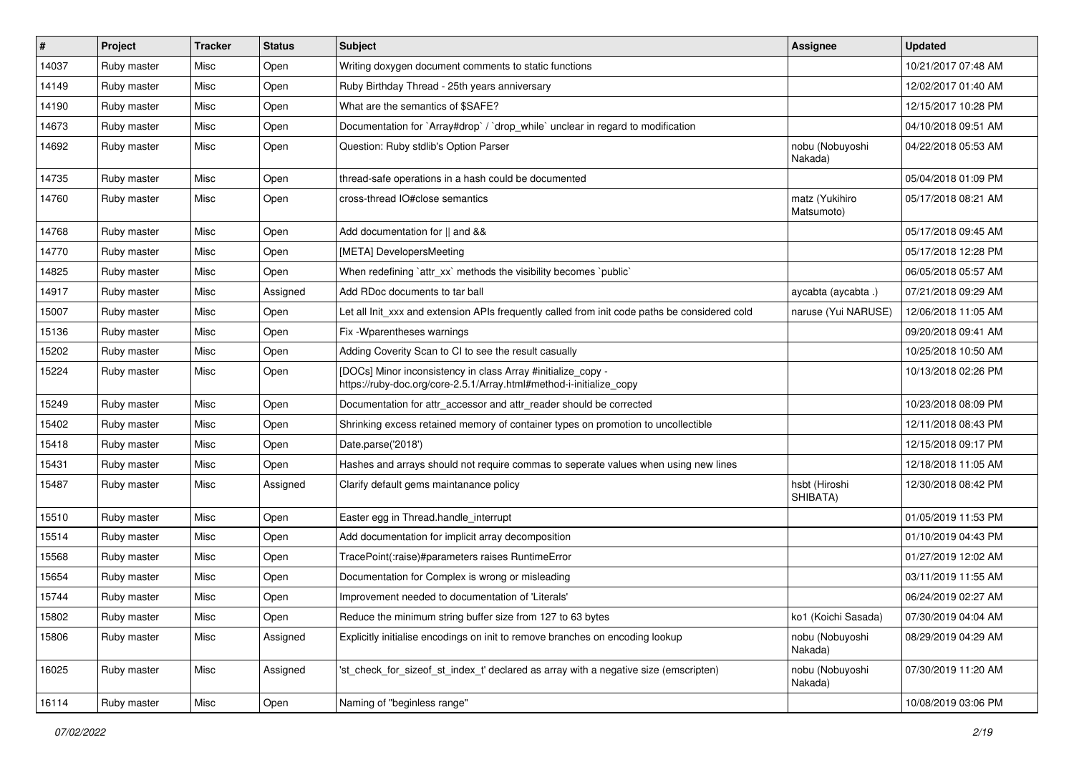| #     | Project     | <b>Tracker</b> | <b>Status</b> | Subject                                                                                                                             | <b>Assignee</b>              | <b>Updated</b>      |
|-------|-------------|----------------|---------------|-------------------------------------------------------------------------------------------------------------------------------------|------------------------------|---------------------|
| 14037 | Ruby master | Misc           | Open          | Writing doxygen document comments to static functions                                                                               |                              | 10/21/2017 07:48 AM |
| 14149 | Ruby master | Misc           | Open          | Ruby Birthday Thread - 25th years anniversary                                                                                       |                              | 12/02/2017 01:40 AM |
| 14190 | Ruby master | Misc           | Open          | What are the semantics of \$SAFE?                                                                                                   |                              | 12/15/2017 10:28 PM |
| 14673 | Ruby master | Misc           | Open          | Documentation for `Array#drop` / `drop_while` unclear in regard to modification                                                     |                              | 04/10/2018 09:51 AM |
| 14692 | Ruby master | Misc           | Open          | Question: Ruby stdlib's Option Parser                                                                                               | nobu (Nobuyoshi<br>Nakada)   | 04/22/2018 05:53 AM |
| 14735 | Ruby master | Misc           | Open          | thread-safe operations in a hash could be documented                                                                                |                              | 05/04/2018 01:09 PM |
| 14760 | Ruby master | Misc           | Open          | cross-thread IO#close semantics                                                                                                     | matz (Yukihiro<br>Matsumoto) | 05/17/2018 08:21 AM |
| 14768 | Ruby master | Misc           | Open          | Add documentation for    and &&                                                                                                     |                              | 05/17/2018 09:45 AM |
| 14770 | Ruby master | Misc           | Open          | [META] DevelopersMeeting                                                                                                            |                              | 05/17/2018 12:28 PM |
| 14825 | Ruby master | Misc           | Open          | When redefining `attr_xx` methods the visibility becomes `public`                                                                   |                              | 06/05/2018 05:57 AM |
| 14917 | Ruby master | Misc           | Assigned      | Add RDoc documents to tar ball                                                                                                      | aycabta (aycabta .)          | 07/21/2018 09:29 AM |
| 15007 | Ruby master | Misc           | Open          | Let all Init_xxx and extension APIs frequently called from init code paths be considered cold                                       | naruse (Yui NARUSE)          | 12/06/2018 11:05 AM |
| 15136 | Ruby master | Misc           | Open          | Fix - Wparentheses warnings                                                                                                         |                              | 09/20/2018 09:41 AM |
| 15202 | Ruby master | Misc           | Open          | Adding Coverity Scan to CI to see the result casually                                                                               |                              | 10/25/2018 10:50 AM |
| 15224 | Ruby master | Misc           | Open          | [DOCs] Minor inconsistency in class Array #initialize_copy -<br>https://ruby-doc.org/core-2.5.1/Array.html#method-i-initialize_copy |                              | 10/13/2018 02:26 PM |
| 15249 | Ruby master | Misc           | Open          | Documentation for attr_accessor and attr_reader should be corrected                                                                 |                              | 10/23/2018 08:09 PM |
| 15402 | Ruby master | Misc           | Open          | Shrinking excess retained memory of container types on promotion to uncollectible                                                   |                              | 12/11/2018 08:43 PM |
| 15418 | Ruby master | Misc           | Open          | Date.parse('2018')                                                                                                                  |                              | 12/15/2018 09:17 PM |
| 15431 | Ruby master | Misc           | Open          | Hashes and arrays should not require commas to seperate values when using new lines                                                 |                              | 12/18/2018 11:05 AM |
| 15487 | Ruby master | Misc           | Assigned      | Clarify default gems maintanance policy                                                                                             | hsbt (Hiroshi<br>SHIBATA)    | 12/30/2018 08:42 PM |
| 15510 | Ruby master | Misc           | Open          | Easter egg in Thread.handle_interrupt                                                                                               |                              | 01/05/2019 11:53 PM |
| 15514 | Ruby master | Misc           | Open          | Add documentation for implicit array decomposition                                                                                  |                              | 01/10/2019 04:43 PM |
| 15568 | Ruby master | Misc           | Open          | TracePoint(:raise)#parameters raises RuntimeError                                                                                   |                              | 01/27/2019 12:02 AM |
| 15654 | Ruby master | Misc           | Open          | Documentation for Complex is wrong or misleading                                                                                    |                              | 03/11/2019 11:55 AM |
| 15744 | Ruby master | Misc           | Open          | Improvement needed to documentation of 'Literals'                                                                                   |                              | 06/24/2019 02:27 AM |
| 15802 | Ruby master | Misc           | Open          | Reduce the minimum string buffer size from 127 to 63 bytes                                                                          | ko1 (Koichi Sasada)          | 07/30/2019 04:04 AM |
| 15806 | Ruby master | Misc           | Assigned      | Explicitly initialise encodings on init to remove branches on encoding lookup                                                       | nobu (Nobuyoshi<br>Nakada)   | 08/29/2019 04:29 AM |
| 16025 | Ruby master | Misc           | Assigned      | 'st check for sizeof st index t' declared as array with a negative size (emscripten)                                                | nobu (Nobuyoshi<br>Nakada)   | 07/30/2019 11:20 AM |
| 16114 | Ruby master | Misc           | Open          | Naming of "beginless range"                                                                                                         |                              | 10/08/2019 03:06 PM |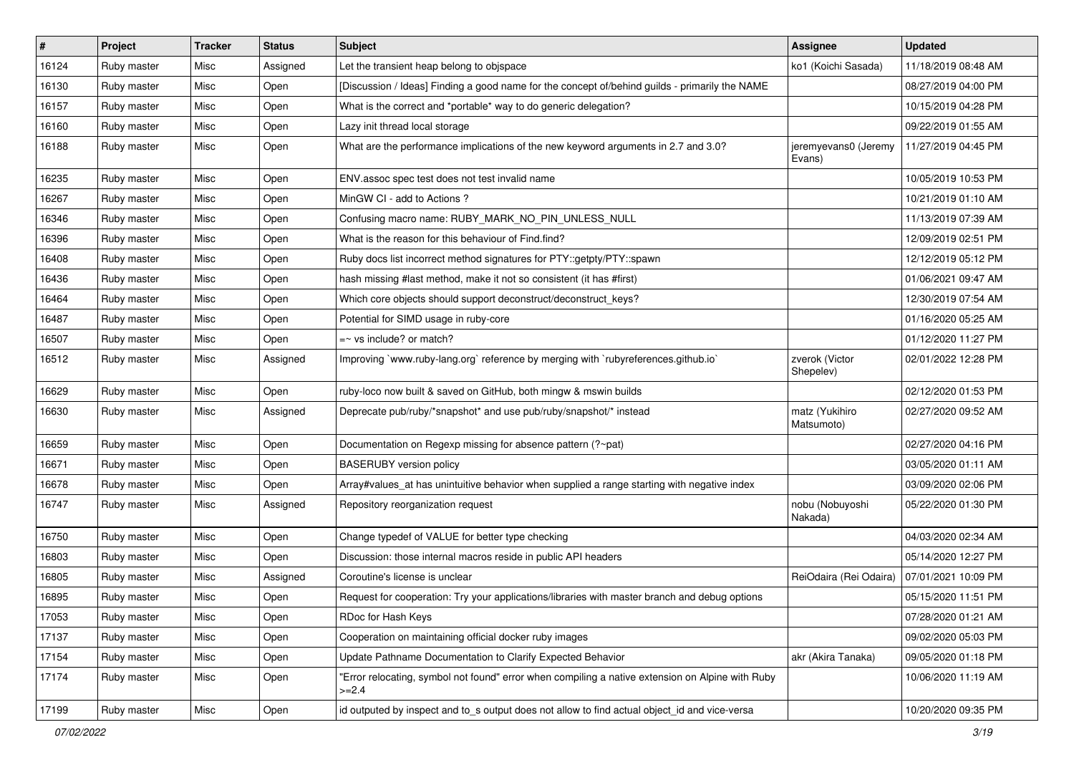| $\vert$ # | Project     | <b>Tracker</b> | <b>Status</b> | Subject                                                                                                     | Assignee                       | <b>Updated</b>      |
|-----------|-------------|----------------|---------------|-------------------------------------------------------------------------------------------------------------|--------------------------------|---------------------|
| 16124     | Ruby master | Misc           | Assigned      | Let the transient heap belong to objspace                                                                   | ko1 (Koichi Sasada)            | 11/18/2019 08:48 AM |
| 16130     | Ruby master | Misc           | Open          | [Discussion / Ideas] Finding a good name for the concept of/behind guilds - primarily the NAME              |                                | 08/27/2019 04:00 PM |
| 16157     | Ruby master | Misc           | Open          | What is the correct and *portable* way to do generic delegation?                                            |                                | 10/15/2019 04:28 PM |
| 16160     | Ruby master | Misc           | Open          | Lazy init thread local storage                                                                              |                                | 09/22/2019 01:55 AM |
| 16188     | Ruby master | Misc           | Open          | What are the performance implications of the new keyword arguments in 2.7 and 3.0?                          | jeremyevans0 (Jeremy<br>Evans) | 11/27/2019 04:45 PM |
| 16235     | Ruby master | Misc           | Open          | ENV assoc spec test does not test invalid name                                                              |                                | 10/05/2019 10:53 PM |
| 16267     | Ruby master | Misc           | Open          | MinGW CI - add to Actions ?                                                                                 |                                | 10/21/2019 01:10 AM |
| 16346     | Ruby master | Misc           | Open          | Confusing macro name: RUBY_MARK_NO_PIN_UNLESS_NULL                                                          |                                | 11/13/2019 07:39 AM |
| 16396     | Ruby master | Misc           | Open          | What is the reason for this behaviour of Find.find?                                                         |                                | 12/09/2019 02:51 PM |
| 16408     | Ruby master | Misc           | Open          | Ruby docs list incorrect method signatures for PTY::getpty/PTY::spawn                                       |                                | 12/12/2019 05:12 PM |
| 16436     | Ruby master | Misc           | Open          | hash missing #last method, make it not so consistent (it has #first)                                        |                                | 01/06/2021 09:47 AM |
| 16464     | Ruby master | Misc           | Open          | Which core objects should support deconstruct/deconstruct_keys?                                             |                                | 12/30/2019 07:54 AM |
| 16487     | Ruby master | Misc           | Open          | Potential for SIMD usage in ruby-core                                                                       |                                | 01/16/2020 05:25 AM |
| 16507     | Ruby master | Misc           | Open          | $=$ vs include? or match?                                                                                   |                                | 01/12/2020 11:27 PM |
| 16512     | Ruby master | Misc           | Assigned      | Improving `www.ruby-lang.org` reference by merging with `rubyreferences.github.io`                          | zverok (Victor<br>Shepelev)    | 02/01/2022 12:28 PM |
| 16629     | Ruby master | Misc           | Open          | ruby-loco now built & saved on GitHub, both mingw & mswin builds                                            |                                | 02/12/2020 01:53 PM |
| 16630     | Ruby master | Misc           | Assigned      | Deprecate pub/ruby/*snapshot* and use pub/ruby/snapshot/* instead                                           | matz (Yukihiro<br>Matsumoto)   | 02/27/2020 09:52 AM |
| 16659     | Ruby master | Misc           | Open          | Documentation on Regexp missing for absence pattern (?~pat)                                                 |                                | 02/27/2020 04:16 PM |
| 16671     | Ruby master | Misc           | Open          | <b>BASERUBY</b> version policy                                                                              |                                | 03/05/2020 01:11 AM |
| 16678     | Ruby master | Misc           | Open          | Array#values_at has unintuitive behavior when supplied a range starting with negative index                 |                                | 03/09/2020 02:06 PM |
| 16747     | Ruby master | Misc           | Assigned      | Repository reorganization request                                                                           | nobu (Nobuyoshi<br>Nakada)     | 05/22/2020 01:30 PM |
| 16750     | Ruby master | Misc           | Open          | Change typedef of VALUE for better type checking                                                            |                                | 04/03/2020 02:34 AM |
| 16803     | Ruby master | Misc           | Open          | Discussion: those internal macros reside in public API headers                                              |                                | 05/14/2020 12:27 PM |
| 16805     | Ruby master | Misc           | Assigned      | Coroutine's license is unclear                                                                              | ReiOdaira (Rei Odaira)         | 07/01/2021 10:09 PM |
| 16895     | Ruby master | Misc           | Open          | Request for cooperation: Try your applications/libraries with master branch and debug options               |                                | 05/15/2020 11:51 PM |
| 17053     | Ruby master | Misc           | Open          | RDoc for Hash Keys                                                                                          |                                | 07/28/2020 01:21 AM |
| 17137     | Ruby master | Misc           | Open          | Cooperation on maintaining official docker ruby images                                                      |                                | 09/02/2020 05:03 PM |
| 17154     | Ruby master | Misc           | Open          | Update Pathname Documentation to Clarify Expected Behavior                                                  | akr (Akira Tanaka)             | 09/05/2020 01:18 PM |
| 17174     | Ruby master | Misc           | Open          | 'Error relocating, symbol not found" error when compiling a native extension on Alpine with Ruby<br>$>=2.4$ |                                | 10/06/2020 11:19 AM |
| 17199     | Ruby master | Misc           | Open          | id outputed by inspect and to_s output does not allow to find actual object_id and vice-versa               |                                | 10/20/2020 09:35 PM |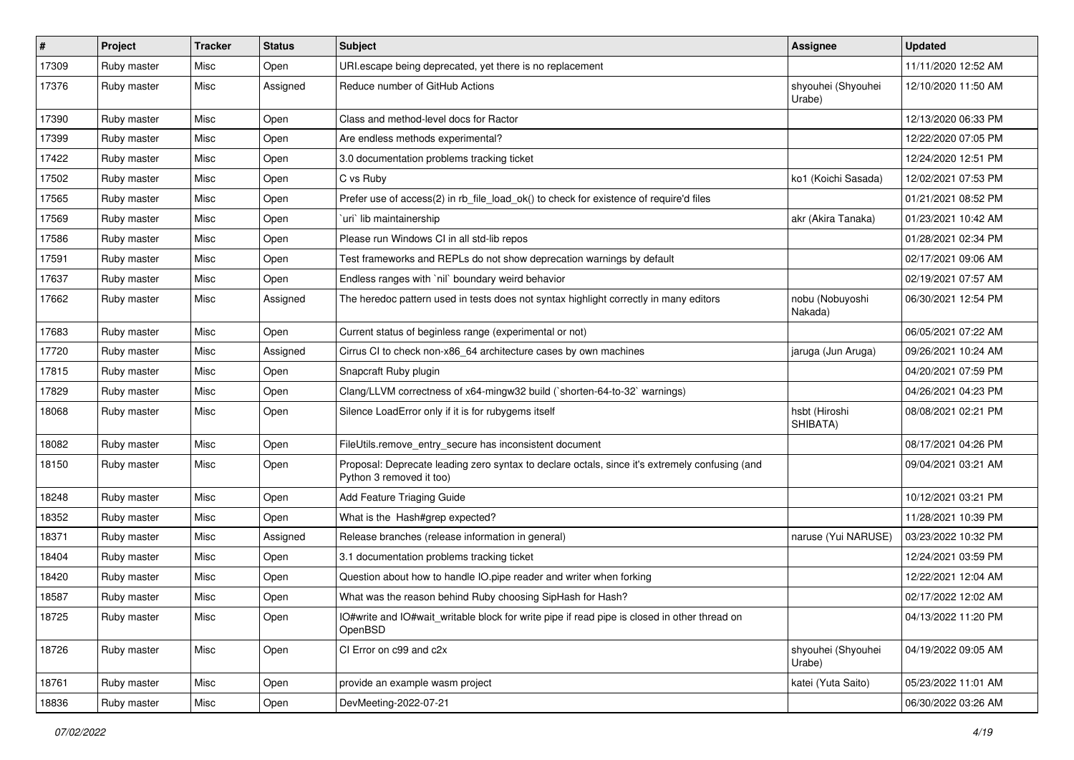| #     | Project     | <b>Tracker</b> | <b>Status</b> | Subject                                                                                                                    | <b>Assignee</b>              | <b>Updated</b>      |
|-------|-------------|----------------|---------------|----------------------------------------------------------------------------------------------------------------------------|------------------------------|---------------------|
| 17309 | Ruby master | Misc           | Open          | URI.escape being deprecated, yet there is no replacement                                                                   |                              | 11/11/2020 12:52 AM |
| 17376 | Ruby master | Misc           | Assigned      | Reduce number of GitHub Actions                                                                                            | shyouhei (Shyouhei<br>Urabe) | 12/10/2020 11:50 AM |
| 17390 | Ruby master | Misc           | Open          | Class and method-level docs for Ractor                                                                                     |                              | 12/13/2020 06:33 PM |
| 17399 | Ruby master | Misc           | Open          | Are endless methods experimental?                                                                                          |                              | 12/22/2020 07:05 PM |
| 17422 | Ruby master | Misc           | Open          | 3.0 documentation problems tracking ticket                                                                                 |                              | 12/24/2020 12:51 PM |
| 17502 | Ruby master | Misc           | Open          | C vs Ruby                                                                                                                  | ko1 (Koichi Sasada)          | 12/02/2021 07:53 PM |
| 17565 | Ruby master | Misc           | Open          | Prefer use of access(2) in rb file load ok() to check for existence of require'd files                                     |                              | 01/21/2021 08:52 PM |
| 17569 | Ruby master | Misc           | Open          | uri lib maintainership                                                                                                     | akr (Akira Tanaka)           | 01/23/2021 10:42 AM |
| 17586 | Ruby master | Misc           | Open          | Please run Windows CI in all std-lib repos                                                                                 |                              | 01/28/2021 02:34 PM |
| 17591 | Ruby master | Misc           | Open          | Test frameworks and REPLs do not show deprecation warnings by default                                                      |                              | 02/17/2021 09:06 AM |
| 17637 | Ruby master | Misc           | Open          | Endless ranges with `nil` boundary weird behavior                                                                          |                              | 02/19/2021 07:57 AM |
| 17662 | Ruby master | Misc           | Assigned      | The heredoc pattern used in tests does not syntax highlight correctly in many editors                                      | nobu (Nobuyoshi<br>Nakada)   | 06/30/2021 12:54 PM |
| 17683 | Ruby master | Misc           | Open          | Current status of beginless range (experimental or not)                                                                    |                              | 06/05/2021 07:22 AM |
| 17720 | Ruby master | Misc           | Assigned      | Cirrus CI to check non-x86_64 architecture cases by own machines                                                           | jaruga (Jun Aruga)           | 09/26/2021 10:24 AM |
| 17815 | Ruby master | Misc           | Open          | Snapcraft Ruby plugin                                                                                                      |                              | 04/20/2021 07:59 PM |
| 17829 | Ruby master | Misc           | Open          | Clang/LLVM correctness of x64-mingw32 build (`shorten-64-to-32` warnings)                                                  |                              | 04/26/2021 04:23 PM |
| 18068 | Ruby master | Misc           | Open          | Silence LoadError only if it is for rubygems itself                                                                        | hsbt (Hiroshi<br>SHIBATA)    | 08/08/2021 02:21 PM |
| 18082 | Ruby master | Misc           | Open          | FileUtils.remove_entry_secure has inconsistent document                                                                    |                              | 08/17/2021 04:26 PM |
| 18150 | Ruby master | Misc           | Open          | Proposal: Deprecate leading zero syntax to declare octals, since it's extremely confusing (and<br>Python 3 removed it too) |                              | 09/04/2021 03:21 AM |
| 18248 | Ruby master | Misc           | Open          | Add Feature Triaging Guide                                                                                                 |                              | 10/12/2021 03:21 PM |
| 18352 | Ruby master | Misc           | Open          | What is the Hash#grep expected?                                                                                            |                              | 11/28/2021 10:39 PM |
| 18371 | Ruby master | Misc           | Assigned      | Release branches (release information in general)                                                                          | naruse (Yui NARUSE)          | 03/23/2022 10:32 PM |
| 18404 | Ruby master | Misc           | Open          | 3.1 documentation problems tracking ticket                                                                                 |                              | 12/24/2021 03:59 PM |
| 18420 | Ruby master | Misc           | Open          | Question about how to handle IO.pipe reader and writer when forking                                                        |                              | 12/22/2021 12:04 AM |
| 18587 | Ruby master | Misc           | Open          | What was the reason behind Ruby choosing SipHash for Hash?                                                                 |                              | 02/17/2022 12:02 AM |
| 18725 | Ruby master | Misc           | Open          | IO#write and IO#wait writable block for write pipe if read pipe is closed in other thread on<br>OpenBSD                    |                              | 04/13/2022 11:20 PM |
| 18726 | Ruby master | Misc           | Open          | CI Error on c99 and c2x                                                                                                    | shyouhei (Shyouhei<br>Urabe) | 04/19/2022 09:05 AM |
| 18761 | Ruby master | Misc           | Open          | provide an example wasm project                                                                                            | katei (Yuta Saito)           | 05/23/2022 11:01 AM |
| 18836 | Ruby master | Misc           | Open          | DevMeeting-2022-07-21                                                                                                      |                              | 06/30/2022 03:26 AM |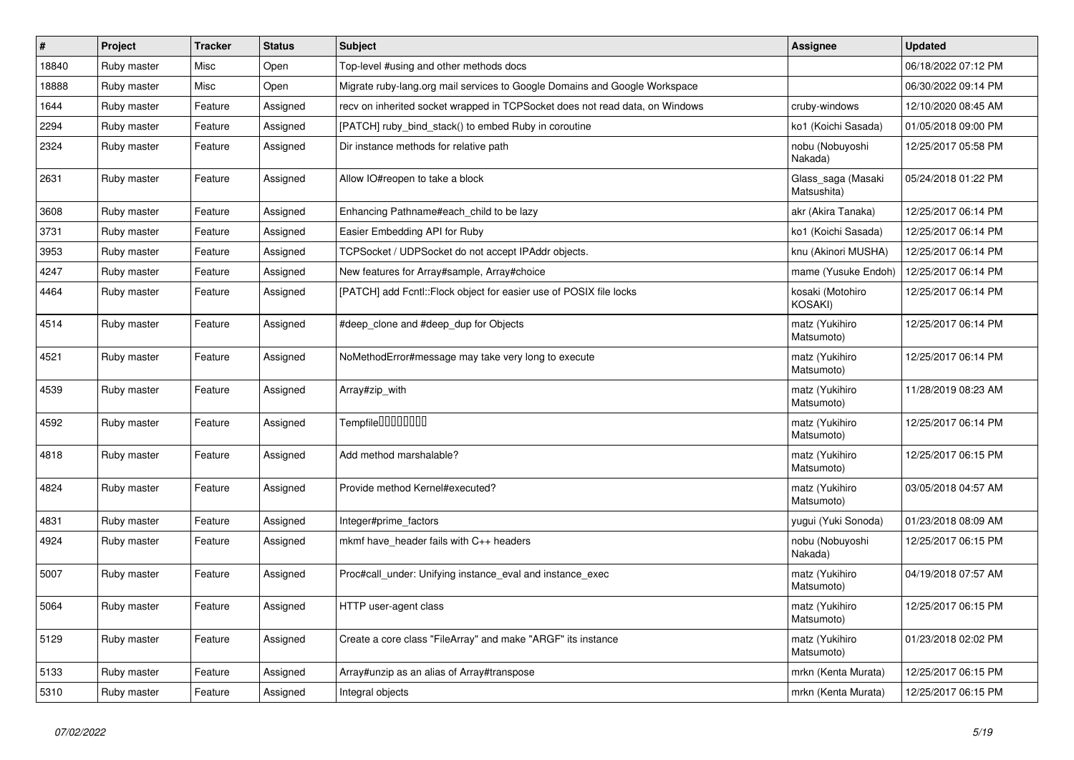| $\vert$ # | Project     | <b>Tracker</b> | <b>Status</b> | <b>Subject</b>                                                               | Assignee                          | <b>Updated</b>      |
|-----------|-------------|----------------|---------------|------------------------------------------------------------------------------|-----------------------------------|---------------------|
| 18840     | Ruby master | Misc           | Open          | Top-level #using and other methods docs                                      |                                   | 06/18/2022 07:12 PM |
| 18888     | Ruby master | Misc           | Open          | Migrate ruby-lang.org mail services to Google Domains and Google Workspace   |                                   | 06/30/2022 09:14 PM |
| 1644      | Ruby master | Feature        | Assigned      | recv on inherited socket wrapped in TCPSocket does not read data, on Windows | cruby-windows                     | 12/10/2020 08:45 AM |
| 2294      | Ruby master | Feature        | Assigned      | [PATCH] ruby_bind_stack() to embed Ruby in coroutine                         | ko1 (Koichi Sasada)               | 01/05/2018 09:00 PM |
| 2324      | Ruby master | Feature        | Assigned      | Dir instance methods for relative path                                       | nobu (Nobuyoshi<br>Nakada)        | 12/25/2017 05:58 PM |
| 2631      | Ruby master | Feature        | Assigned      | Allow IO#reopen to take a block                                              | Glass saga (Masaki<br>Matsushita) | 05/24/2018 01:22 PM |
| 3608      | Ruby master | Feature        | Assigned      | Enhancing Pathname#each child to be lazy                                     | akr (Akira Tanaka)                | 12/25/2017 06:14 PM |
| 3731      | Ruby master | Feature        | Assigned      | Easier Embedding API for Ruby                                                | ko1 (Koichi Sasada)               | 12/25/2017 06:14 PM |
| 3953      | Ruby master | Feature        | Assigned      | TCPSocket / UDPSocket do not accept IPAddr objects.                          | knu (Akinori MUSHA)               | 12/25/2017 06:14 PM |
| 4247      | Ruby master | Feature        | Assigned      | New features for Array#sample, Array#choice                                  | mame (Yusuke Endoh)               | 12/25/2017 06:14 PM |
| 4464      | Ruby master | Feature        | Assigned      | [PATCH] add Fcntl::Flock object for easier use of POSIX file locks           | kosaki (Motohiro<br>KOSAKI)       | 12/25/2017 06:14 PM |
| 4514      | Ruby master | Feature        | Assigned      | #deep clone and #deep dup for Objects                                        | matz (Yukihiro<br>Matsumoto)      | 12/25/2017 06:14 PM |
| 4521      | Ruby master | Feature        | Assigned      | NoMethodError#message may take very long to execute                          | matz (Yukihiro<br>Matsumoto)      | 12/25/2017 06:14 PM |
| 4539      | Ruby master | Feature        | Assigned      | Array#zip_with                                                               | matz (Yukihiro<br>Matsumoto)      | 11/28/2019 08:23 AM |
| 4592      | Ruby master | Feature        | Assigned      | Tempfile0000000                                                              | matz (Yukihiro<br>Matsumoto)      | 12/25/2017 06:14 PM |
| 4818      | Ruby master | Feature        | Assigned      | Add method marshalable?                                                      | matz (Yukihiro<br>Matsumoto)      | 12/25/2017 06:15 PM |
| 4824      | Ruby master | Feature        | Assigned      | Provide method Kernel#executed?                                              | matz (Yukihiro<br>Matsumoto)      | 03/05/2018 04:57 AM |
| 4831      | Ruby master | Feature        | Assigned      | Integer#prime factors                                                        | yugui (Yuki Sonoda)               | 01/23/2018 08:09 AM |
| 4924      | Ruby master | Feature        | Assigned      | mkmf have_header fails with C++ headers                                      | nobu (Nobuyoshi<br>Nakada)        | 12/25/2017 06:15 PM |
| 5007      | Ruby master | Feature        | Assigned      | Proc#call under: Unifying instance eval and instance exec                    | matz (Yukihiro<br>Matsumoto)      | 04/19/2018 07:57 AM |
| 5064      | Ruby master | Feature        | Assigned      | HTTP user-agent class                                                        | matz (Yukihiro<br>Matsumoto)      | 12/25/2017 06:15 PM |
| 5129      | Ruby master | Feature        | Assigned      | Create a core class "FileArray" and make "ARGF" its instance                 | matz (Yukihiro<br>Matsumoto)      | 01/23/2018 02:02 PM |
| 5133      | Ruby master | Feature        | Assigned      | Array#unzip as an alias of Array#transpose                                   | mrkn (Kenta Murata)               | 12/25/2017 06:15 PM |
| 5310      | Ruby master | Feature        | Assigned      | Integral objects                                                             | mrkn (Kenta Murata)               | 12/25/2017 06:15 PM |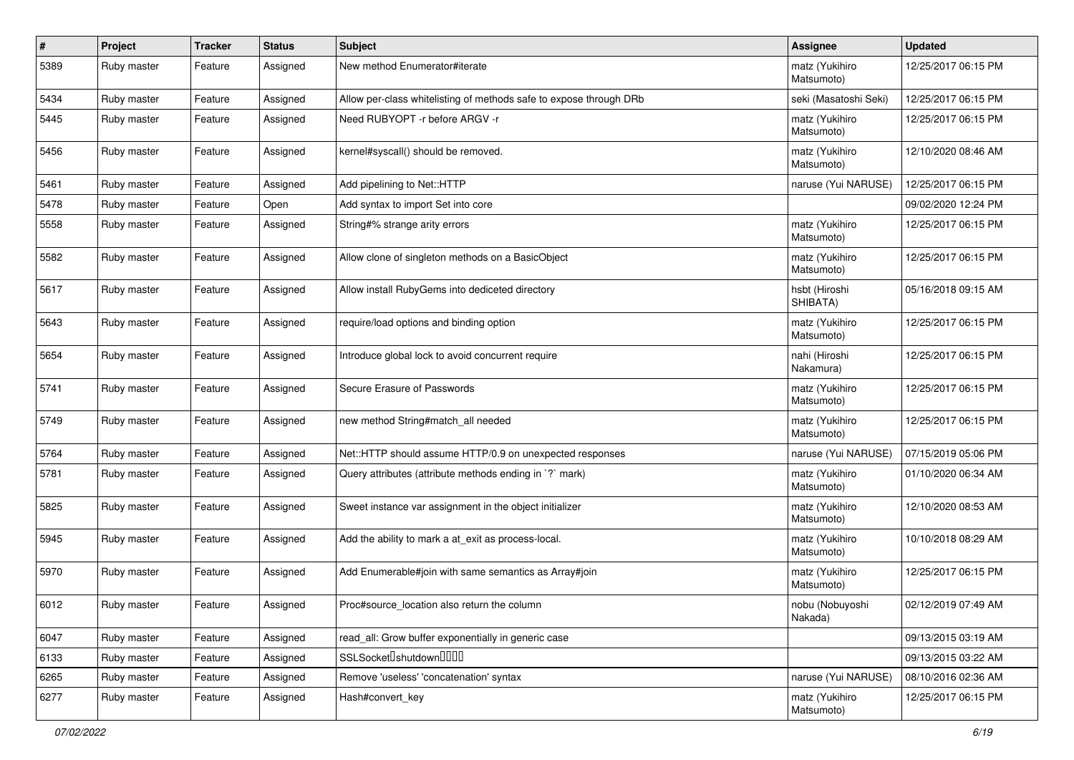| $\vert$ # | Project     | <b>Tracker</b> | <b>Status</b> | Subject                                                             | <b>Assignee</b>              | <b>Updated</b>      |
|-----------|-------------|----------------|---------------|---------------------------------------------------------------------|------------------------------|---------------------|
| 5389      | Ruby master | Feature        | Assigned      | New method Enumerator#iterate                                       | matz (Yukihiro<br>Matsumoto) | 12/25/2017 06:15 PM |
| 5434      | Ruby master | Feature        | Assigned      | Allow per-class white listing of methods safe to expose through DRb | seki (Masatoshi Seki)        | 12/25/2017 06:15 PM |
| 5445      | Ruby master | Feature        | Assigned      | Need RUBYOPT - r before ARGV - r                                    | matz (Yukihiro<br>Matsumoto) | 12/25/2017 06:15 PM |
| 5456      | Ruby master | Feature        | Assigned      | kernel#syscall() should be removed.                                 | matz (Yukihiro<br>Matsumoto) | 12/10/2020 08:46 AM |
| 5461      | Ruby master | Feature        | Assigned      | Add pipelining to Net::HTTP                                         | naruse (Yui NARUSE)          | 12/25/2017 06:15 PM |
| 5478      | Ruby master | Feature        | Open          | Add syntax to import Set into core                                  |                              | 09/02/2020 12:24 PM |
| 5558      | Ruby master | Feature        | Assigned      | String#% strange arity errors                                       | matz (Yukihiro<br>Matsumoto) | 12/25/2017 06:15 PM |
| 5582      | Ruby master | Feature        | Assigned      | Allow clone of singleton methods on a BasicObject                   | matz (Yukihiro<br>Matsumoto) | 12/25/2017 06:15 PM |
| 5617      | Ruby master | Feature        | Assigned      | Allow install RubyGems into dediceted directory                     | hsbt (Hiroshi<br>SHIBATA)    | 05/16/2018 09:15 AM |
| 5643      | Ruby master | Feature        | Assigned      | require/load options and binding option                             | matz (Yukihiro<br>Matsumoto) | 12/25/2017 06:15 PM |
| 5654      | Ruby master | Feature        | Assigned      | Introduce global lock to avoid concurrent require                   | nahi (Hiroshi<br>Nakamura)   | 12/25/2017 06:15 PM |
| 5741      | Ruby master | Feature        | Assigned      | Secure Erasure of Passwords                                         | matz (Yukihiro<br>Matsumoto) | 12/25/2017 06:15 PM |
| 5749      | Ruby master | Feature        | Assigned      | new method String#match_all needed                                  | matz (Yukihiro<br>Matsumoto) | 12/25/2017 06:15 PM |
| 5764      | Ruby master | Feature        | Assigned      | Net::HTTP should assume HTTP/0.9 on unexpected responses            | naruse (Yui NARUSE)          | 07/15/2019 05:06 PM |
| 5781      | Ruby master | Feature        | Assigned      | Query attributes (attribute methods ending in `?` mark)             | matz (Yukihiro<br>Matsumoto) | 01/10/2020 06:34 AM |
| 5825      | Ruby master | Feature        | Assigned      | Sweet instance var assignment in the object initializer             | matz (Yukihiro<br>Matsumoto) | 12/10/2020 08:53 AM |
| 5945      | Ruby master | Feature        | Assigned      | Add the ability to mark a at_exit as process-local.                 | matz (Yukihiro<br>Matsumoto) | 10/10/2018 08:29 AM |
| 5970      | Ruby master | Feature        | Assigned      | Add Enumerable#join with same semantics as Array#join               | matz (Yukihiro<br>Matsumoto) | 12/25/2017 06:15 PM |
| 6012      | Ruby master | Feature        | Assigned      | Proc#source_location also return the column                         | nobu (Nobuyoshi<br>Nakada)   | 02/12/2019 07:49 AM |
| 6047      | Ruby master | Feature        | Assigned      | read_all: Grow buffer exponentially in generic case                 |                              | 09/13/2015 03:19 AM |
| 6133      | Ruby master | Feature        | Assigned      | SSLSocket <sup>[]</sup> shutdown <sup>[][][]</sup>                  |                              | 09/13/2015 03:22 AM |
| 6265      | Ruby master | Feature        | Assigned      | Remove 'useless' 'concatenation' syntax                             | naruse (Yui NARUSE)          | 08/10/2016 02:36 AM |
| 6277      | Ruby master | Feature        | Assigned      | Hash#convert_key                                                    | matz (Yukihiro<br>Matsumoto) | 12/25/2017 06:15 PM |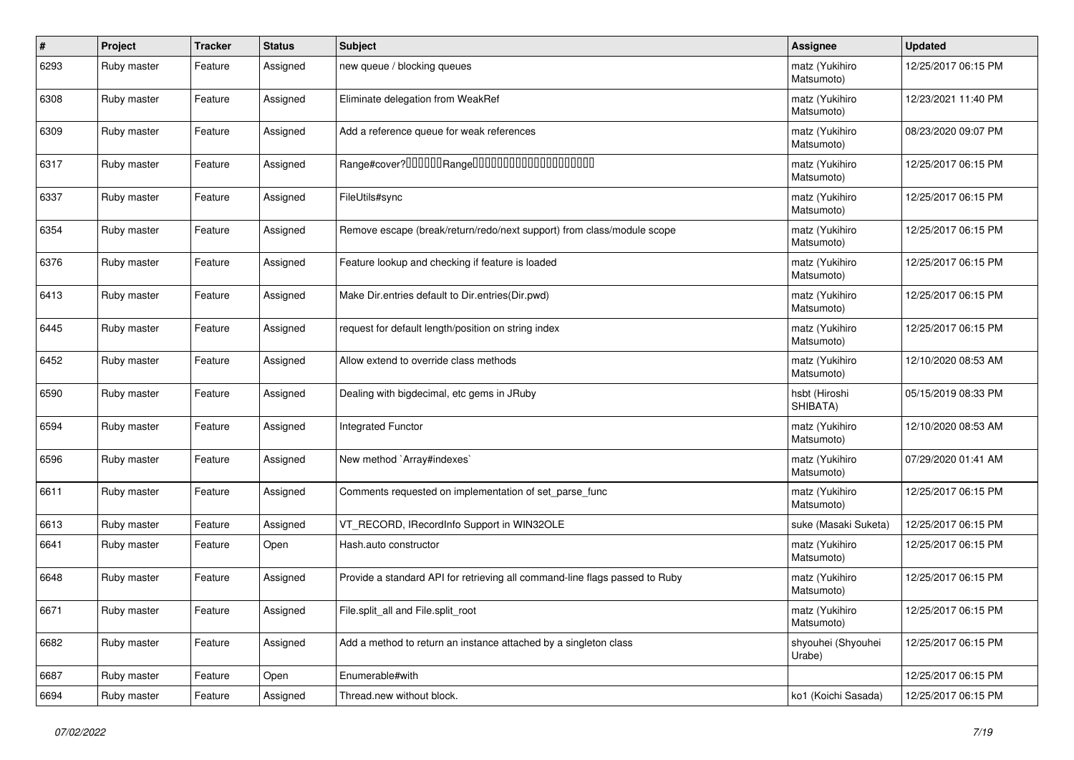| $\vert$ # | Project     | <b>Tracker</b> | <b>Status</b> | <b>Subject</b>                                                              | <b>Assignee</b>              | <b>Updated</b>      |
|-----------|-------------|----------------|---------------|-----------------------------------------------------------------------------|------------------------------|---------------------|
| 6293      | Ruby master | Feature        | Assigned      | new queue / blocking queues                                                 | matz (Yukihiro<br>Matsumoto) | 12/25/2017 06:15 PM |
| 6308      | Ruby master | Feature        | Assigned      | Eliminate delegation from WeakRef                                           | matz (Yukihiro<br>Matsumoto) | 12/23/2021 11:40 PM |
| 6309      | Ruby master | Feature        | Assigned      | Add a reference queue for weak references                                   | matz (Yukihiro<br>Matsumoto) | 08/23/2020 09:07 PM |
| 6317      | Ruby master | Feature        | Assigned      | Range#cover?000000Range00000000000000000000                                 | matz (Yukihiro<br>Matsumoto) | 12/25/2017 06:15 PM |
| 6337      | Ruby master | Feature        | Assigned      | FileUtils#sync                                                              | matz (Yukihiro<br>Matsumoto) | 12/25/2017 06:15 PM |
| 6354      | Ruby master | Feature        | Assigned      | Remove escape (break/return/redo/next support) from class/module scope      | matz (Yukihiro<br>Matsumoto) | 12/25/2017 06:15 PM |
| 6376      | Ruby master | Feature        | Assigned      | Feature lookup and checking if feature is loaded                            | matz (Yukihiro<br>Matsumoto) | 12/25/2017 06:15 PM |
| 6413      | Ruby master | Feature        | Assigned      | Make Dir.entries default to Dir.entries(Dir.pwd)                            | matz (Yukihiro<br>Matsumoto) | 12/25/2017 06:15 PM |
| 6445      | Ruby master | Feature        | Assigned      | request for default length/position on string index                         | matz (Yukihiro<br>Matsumoto) | 12/25/2017 06:15 PM |
| 6452      | Ruby master | Feature        | Assigned      | Allow extend to override class methods                                      | matz (Yukihiro<br>Matsumoto) | 12/10/2020 08:53 AM |
| 6590      | Ruby master | Feature        | Assigned      | Dealing with bigdecimal, etc gems in JRuby                                  | hsbt (Hiroshi<br>SHIBATA)    | 05/15/2019 08:33 PM |
| 6594      | Ruby master | Feature        | Assigned      | <b>Integrated Functor</b>                                                   | matz (Yukihiro<br>Matsumoto) | 12/10/2020 08:53 AM |
| 6596      | Ruby master | Feature        | Assigned      | New method `Array#indexes`                                                  | matz (Yukihiro<br>Matsumoto) | 07/29/2020 01:41 AM |
| 6611      | Ruby master | Feature        | Assigned      | Comments requested on implementation of set_parse_func                      | matz (Yukihiro<br>Matsumoto) | 12/25/2017 06:15 PM |
| 6613      | Ruby master | Feature        | Assigned      | VT RECORD, IRecordInfo Support in WIN32OLE                                  | suke (Masaki Suketa)         | 12/25/2017 06:15 PM |
| 6641      | Ruby master | Feature        | Open          | Hash.auto constructor                                                       | matz (Yukihiro<br>Matsumoto) | 12/25/2017 06:15 PM |
| 6648      | Ruby master | Feature        | Assigned      | Provide a standard API for retrieving all command-line flags passed to Ruby | matz (Yukihiro<br>Matsumoto) | 12/25/2017 06:15 PM |
| 6671      | Ruby master | Feature        | Assigned      | File.split_all and File.split_root                                          | matz (Yukihiro<br>Matsumoto) | 12/25/2017 06:15 PM |
| 6682      | Ruby master | Feature        | Assigned      | Add a method to return an instance attached by a singleton class            | shyouhei (Shyouhei<br>Urabe) | 12/25/2017 06:15 PM |
| 6687      | Ruby master | Feature        | Open          | Enumerable#with                                                             |                              | 12/25/2017 06:15 PM |
| 6694      | Ruby master | Feature        | Assigned      | Thread.new without block.                                                   | ko1 (Koichi Sasada)          | 12/25/2017 06:15 PM |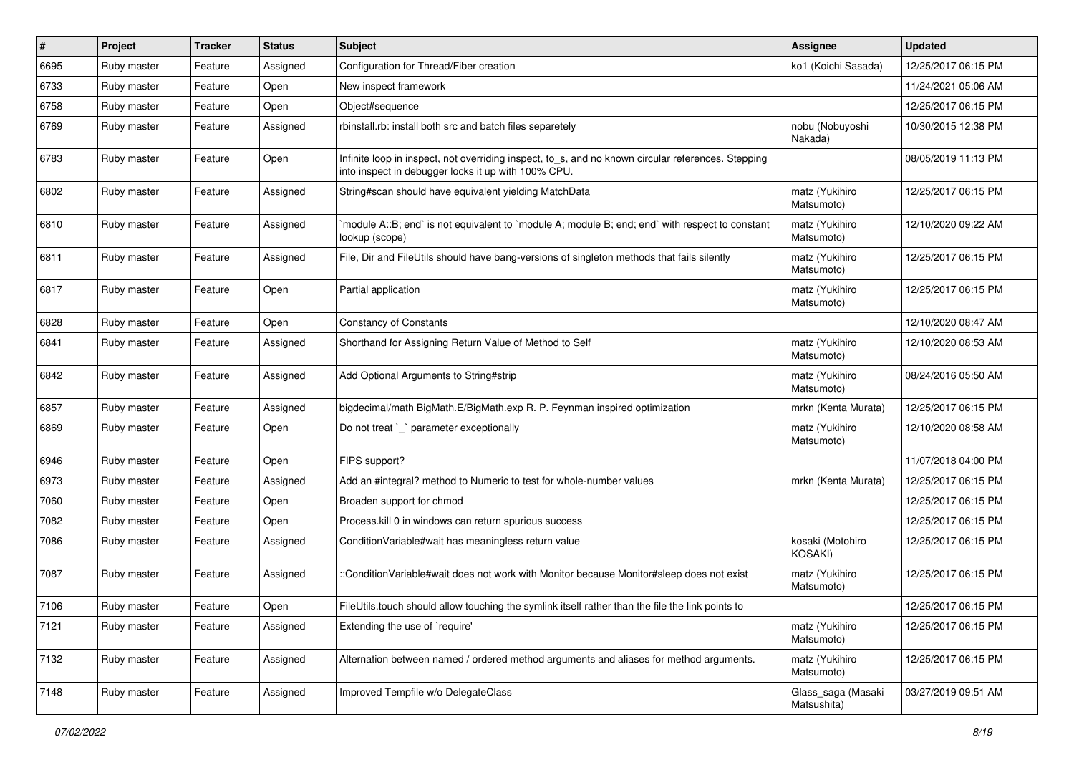| $\vert$ # | Project     | <b>Tracker</b> | <b>Status</b> | <b>Subject</b>                                                                                                                                            | Assignee                          | <b>Updated</b>      |
|-----------|-------------|----------------|---------------|-----------------------------------------------------------------------------------------------------------------------------------------------------------|-----------------------------------|---------------------|
| 6695      | Ruby master | Feature        | Assigned      | Configuration for Thread/Fiber creation                                                                                                                   | ko1 (Koichi Sasada)               | 12/25/2017 06:15 PM |
| 6733      | Ruby master | Feature        | Open          | New inspect framework                                                                                                                                     |                                   | 11/24/2021 05:06 AM |
| 6758      | Ruby master | Feature        | Open          | Object#sequence                                                                                                                                           |                                   | 12/25/2017 06:15 PM |
| 6769      | Ruby master | Feature        | Assigned      | rbinstall.rb: install both src and batch files separetely                                                                                                 | nobu (Nobuyoshi<br>Nakada)        | 10/30/2015 12:38 PM |
| 6783      | Ruby master | Feature        | Open          | Infinite loop in inspect, not overriding inspect, to_s, and no known circular references. Stepping<br>into inspect in debugger locks it up with 100% CPU. |                                   | 08/05/2019 11:13 PM |
| 6802      | Ruby master | Feature        | Assigned      | String#scan should have equivalent yielding MatchData                                                                                                     | matz (Yukihiro<br>Matsumoto)      | 12/25/2017 06:15 PM |
| 6810      | Ruby master | Feature        | Assigned      | module A::B; end` is not equivalent to `module A; module B; end; end` with respect to constant<br>lookup (scope)                                          | matz (Yukihiro<br>Matsumoto)      | 12/10/2020 09:22 AM |
| 6811      | Ruby master | Feature        | Assigned      | File, Dir and FileUtils should have bang-versions of singleton methods that fails silently                                                                | matz (Yukihiro<br>Matsumoto)      | 12/25/2017 06:15 PM |
| 6817      | Ruby master | Feature        | Open          | Partial application                                                                                                                                       | matz (Yukihiro<br>Matsumoto)      | 12/25/2017 06:15 PM |
| 6828      | Ruby master | Feature        | Open          | <b>Constancy of Constants</b>                                                                                                                             |                                   | 12/10/2020 08:47 AM |
| 6841      | Ruby master | Feature        | Assigned      | Shorthand for Assigning Return Value of Method to Self                                                                                                    | matz (Yukihiro<br>Matsumoto)      | 12/10/2020 08:53 AM |
| 6842      | Ruby master | Feature        | Assigned      | Add Optional Arguments to String#strip                                                                                                                    | matz (Yukihiro<br>Matsumoto)      | 08/24/2016 05:50 AM |
| 6857      | Ruby master | Feature        | Assigned      | bigdecimal/math BigMath.E/BigMath.exp R. P. Feynman inspired optimization                                                                                 | mrkn (Kenta Murata)               | 12/25/2017 06:15 PM |
| 6869      | Ruby master | Feature        | Open          | Do not treat `_` parameter exceptionally                                                                                                                  | matz (Yukihiro<br>Matsumoto)      | 12/10/2020 08:58 AM |
| 6946      | Ruby master | Feature        | Open          | FIPS support?                                                                                                                                             |                                   | 11/07/2018 04:00 PM |
| 6973      | Ruby master | Feature        | Assigned      | Add an #integral? method to Numeric to test for whole-number values                                                                                       | mrkn (Kenta Murata)               | 12/25/2017 06:15 PM |
| 7060      | Ruby master | Feature        | Open          | Broaden support for chmod                                                                                                                                 |                                   | 12/25/2017 06:15 PM |
| 7082      | Ruby master | Feature        | Open          | Process. kill 0 in windows can return spurious success                                                                                                    |                                   | 12/25/2017 06:15 PM |
| 7086      | Ruby master | Feature        | Assigned      | Condition Variable#wait has meaningless return value                                                                                                      | kosaki (Motohiro<br>KOSAKI)       | 12/25/2017 06:15 PM |
| 7087      | Ruby master | Feature        | Assigned      | ::ConditionVariable#wait does not work with Monitor because Monitor#sleep does not exist                                                                  | matz (Yukihiro<br>Matsumoto)      | 12/25/2017 06:15 PM |
| 7106      | Ruby master | Feature        | Open          | FileUtils.touch should allow touching the symlink itself rather than the file the link points to                                                          |                                   | 12/25/2017 06:15 PM |
| 7121      | Ruby master | Feature        | Assigned      | Extending the use of `require'                                                                                                                            | matz (Yukihiro<br>Matsumoto)      | 12/25/2017 06:15 PM |
| 7132      | Ruby master | Feature        | Assigned      | Alternation between named / ordered method arguments and aliases for method arguments.                                                                    | matz (Yukihiro<br>Matsumoto)      | 12/25/2017 06:15 PM |
| 7148      | Ruby master | Feature        | Assigned      | Improved Tempfile w/o DelegateClass                                                                                                                       | Glass_saga (Masaki<br>Matsushita) | 03/27/2019 09:51 AM |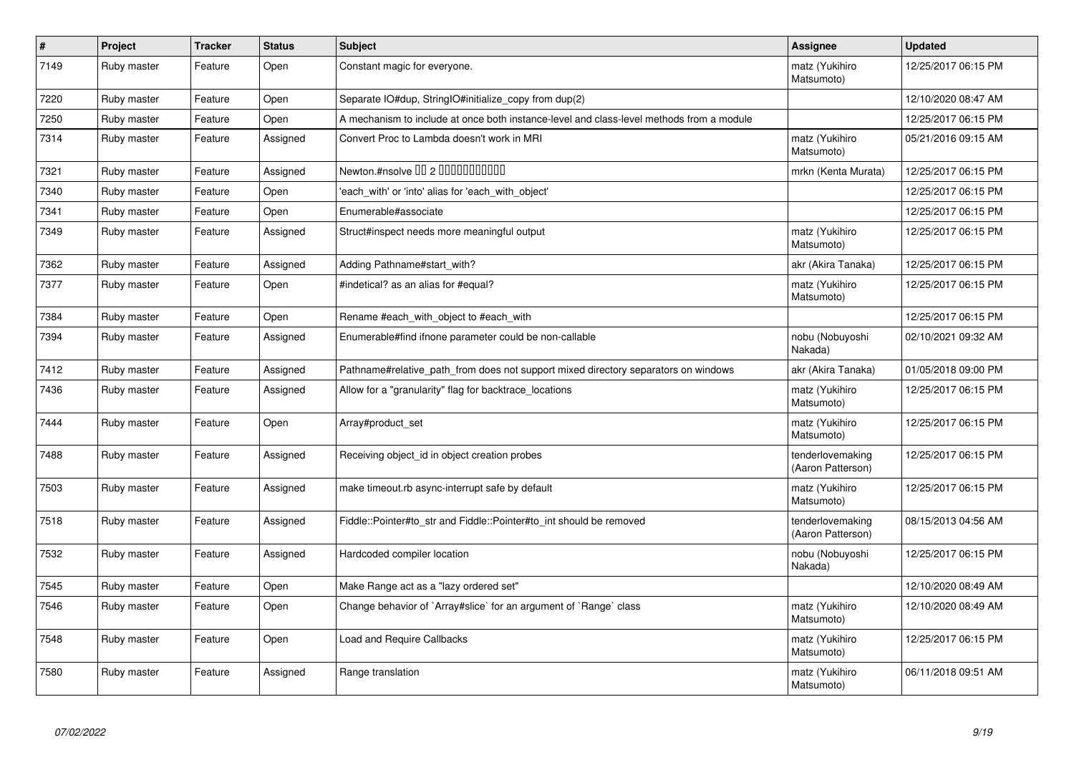| $\vert$ # | Project     | <b>Tracker</b> | <b>Status</b> | <b>Subject</b>                                                                           | Assignee                              | <b>Updated</b>      |
|-----------|-------------|----------------|---------------|------------------------------------------------------------------------------------------|---------------------------------------|---------------------|
| 7149      | Ruby master | Feature        | Open          | Constant magic for everyone.                                                             | matz (Yukihiro<br>Matsumoto)          | 12/25/2017 06:15 PM |
| 7220      | Ruby master | Feature        | Open          | Separate IO#dup, StringIO#initialize copy from dup(2)                                    |                                       | 12/10/2020 08:47 AM |
| 7250      | Ruby master | Feature        | Open          | A mechanism to include at once both instance-level and class-level methods from a module |                                       | 12/25/2017 06:15 PM |
| 7314      | Ruby master | Feature        | Assigned      | Convert Proc to Lambda doesn't work in MRI                                               | matz (Yukihiro<br>Matsumoto)          | 05/21/2016 09:15 AM |
| 7321      | Ruby master | Feature        | Assigned      | Newton.#nsolve 00 2 0000000000                                                           | mrkn (Kenta Murata)                   | 12/25/2017 06:15 PM |
| 7340      | Ruby master | Feature        | Open          | 'each_with' or 'into' alias for 'each_with_object'                                       |                                       | 12/25/2017 06:15 PM |
| 7341      | Ruby master | Feature        | Open          | Enumerable#associate                                                                     |                                       | 12/25/2017 06:15 PM |
| 7349      | Ruby master | Feature        | Assigned      | Struct#inspect needs more meaningful output                                              | matz (Yukihiro<br>Matsumoto)          | 12/25/2017 06:15 PM |
| 7362      | Ruby master | Feature        | Assigned      | Adding Pathname#start_with?                                                              | akr (Akira Tanaka)                    | 12/25/2017 06:15 PM |
| 7377      | Ruby master | Feature        | Open          | #indetical? as an alias for #equal?                                                      | matz (Yukihiro<br>Matsumoto)          | 12/25/2017 06:15 PM |
| 7384      | Ruby master | Feature        | Open          | Rename #each_with_object to #each_with                                                   |                                       | 12/25/2017 06:15 PM |
| 7394      | Ruby master | Feature        | Assigned      | Enumerable#find ifnone parameter could be non-callable                                   | nobu (Nobuyoshi<br>Nakada)            | 02/10/2021 09:32 AM |
| 7412      | Ruby master | Feature        | Assigned      | Pathname#relative path from does not support mixed directory separators on windows       | akr (Akira Tanaka)                    | 01/05/2018 09:00 PM |
| 7436      | Ruby master | Feature        | Assigned      | Allow for a "granularity" flag for backtrace_locations                                   | matz (Yukihiro<br>Matsumoto)          | 12/25/2017 06:15 PM |
| 7444      | Ruby master | Feature        | Open          | Array#product_set                                                                        | matz (Yukihiro<br>Matsumoto)          | 12/25/2017 06:15 PM |
| 7488      | Ruby master | Feature        | Assigned      | Receiving object id in object creation probes                                            | tenderlovemaking<br>(Aaron Patterson) | 12/25/2017 06:15 PM |
| 7503      | Ruby master | Feature        | Assigned      | make timeout.rb async-interrupt safe by default                                          | matz (Yukihiro<br>Matsumoto)          | 12/25/2017 06:15 PM |
| 7518      | Ruby master | Feature        | Assigned      | Fiddle::Pointer#to_str and Fiddle::Pointer#to_int should be removed                      | tenderlovemaking<br>(Aaron Patterson) | 08/15/2013 04:56 AM |
| 7532      | Ruby master | Feature        | Assigned      | Hardcoded compiler location                                                              | nobu (Nobuyoshi<br>Nakada)            | 12/25/2017 06:15 PM |
| 7545      | Ruby master | Feature        | Open          | Make Range act as a "lazy ordered set"                                                   |                                       | 12/10/2020 08:49 AM |
| 7546      | Ruby master | Feature        | Open          | Change behavior of `Array#slice` for an argument of `Range` class                        | matz (Yukihiro<br>Matsumoto)          | 12/10/2020 08:49 AM |
| 7548      | Ruby master | Feature        | Open          | Load and Require Callbacks                                                               | matz (Yukihiro<br>Matsumoto)          | 12/25/2017 06:15 PM |
| 7580      | Ruby master | Feature        | Assigned      | Range translation                                                                        | matz (Yukihiro<br>Matsumoto)          | 06/11/2018 09:51 AM |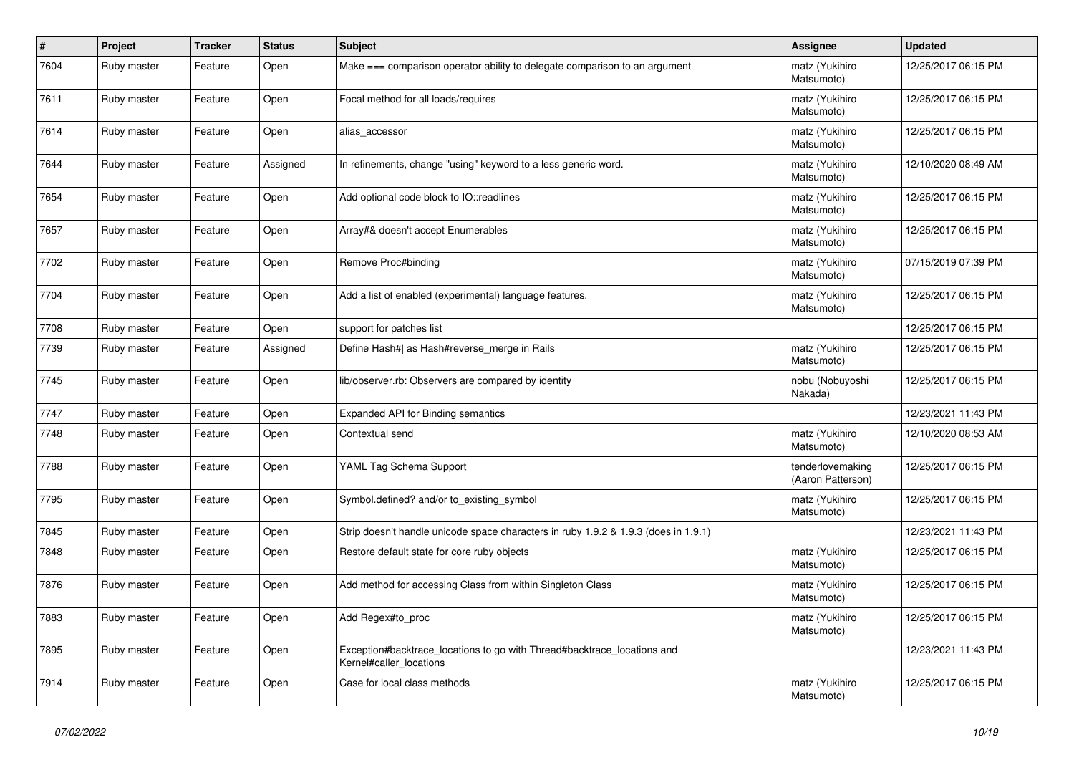| $\vert$ # | Project     | <b>Tracker</b> | <b>Status</b> | <b>Subject</b>                                                                                     | Assignee                              | <b>Updated</b>      |
|-----------|-------------|----------------|---------------|----------------------------------------------------------------------------------------------------|---------------------------------------|---------------------|
| 7604      | Ruby master | Feature        | Open          | Make === comparison operator ability to delegate comparison to an argument                         | matz (Yukihiro<br>Matsumoto)          | 12/25/2017 06:15 PM |
| 7611      | Ruby master | Feature        | Open          | Focal method for all loads/requires                                                                | matz (Yukihiro<br>Matsumoto)          | 12/25/2017 06:15 PM |
| 7614      | Ruby master | Feature        | Open          | alias_accessor                                                                                     | matz (Yukihiro<br>Matsumoto)          | 12/25/2017 06:15 PM |
| 7644      | Ruby master | Feature        | Assigned      | In refinements, change "using" keyword to a less generic word.                                     | matz (Yukihiro<br>Matsumoto)          | 12/10/2020 08:49 AM |
| 7654      | Ruby master | Feature        | Open          | Add optional code block to IO::readlines                                                           | matz (Yukihiro<br>Matsumoto)          | 12/25/2017 06:15 PM |
| 7657      | Ruby master | Feature        | Open          | Array#& doesn't accept Enumerables                                                                 | matz (Yukihiro<br>Matsumoto)          | 12/25/2017 06:15 PM |
| 7702      | Ruby master | Feature        | Open          | Remove Proc#binding                                                                                | matz (Yukihiro<br>Matsumoto)          | 07/15/2019 07:39 PM |
| 7704      | Ruby master | Feature        | Open          | Add a list of enabled (experimental) language features.                                            | matz (Yukihiro<br>Matsumoto)          | 12/25/2017 06:15 PM |
| 7708      | Ruby master | Feature        | Open          | support for patches list                                                                           |                                       | 12/25/2017 06:15 PM |
| 7739      | Ruby master | Feature        | Assigned      | Define Hash#  as Hash#reverse_merge in Rails                                                       | matz (Yukihiro<br>Matsumoto)          | 12/25/2017 06:15 PM |
| 7745      | Ruby master | Feature        | Open          | lib/observer.rb: Observers are compared by identity                                                | nobu (Nobuyoshi<br>Nakada)            | 12/25/2017 06:15 PM |
| 7747      | Ruby master | Feature        | Open          | Expanded API for Binding semantics                                                                 |                                       | 12/23/2021 11:43 PM |
| 7748      | Ruby master | Feature        | Open          | Contextual send                                                                                    | matz (Yukihiro<br>Matsumoto)          | 12/10/2020 08:53 AM |
| 7788      | Ruby master | Feature        | Open          | YAML Tag Schema Support                                                                            | tenderlovemaking<br>(Aaron Patterson) | 12/25/2017 06:15 PM |
| 7795      | Ruby master | Feature        | Open          | Symbol.defined? and/or to existing symbol                                                          | matz (Yukihiro<br>Matsumoto)          | 12/25/2017 06:15 PM |
| 7845      | Ruby master | Feature        | Open          | Strip doesn't handle unicode space characters in ruby 1.9.2 & 1.9.3 (does in 1.9.1)                |                                       | 12/23/2021 11:43 PM |
| 7848      | Ruby master | Feature        | Open          | Restore default state for core ruby objects                                                        | matz (Yukihiro<br>Matsumoto)          | 12/25/2017 06:15 PM |
| 7876      | Ruby master | Feature        | Open          | Add method for accessing Class from within Singleton Class                                         | matz (Yukihiro<br>Matsumoto)          | 12/25/2017 06:15 PM |
| 7883      | Ruby master | Feature        | Open          | Add Regex#to_proc                                                                                  | matz (Yukihiro<br>Matsumoto)          | 12/25/2017 06:15 PM |
| 7895      | Ruby master | Feature        | Open          | Exception#backtrace_locations to go with Thread#backtrace_locations and<br>Kernel#caller_locations |                                       | 12/23/2021 11:43 PM |
| 7914      | Ruby master | Feature        | Open          | Case for local class methods                                                                       | matz (Yukihiro<br>Matsumoto)          | 12/25/2017 06:15 PM |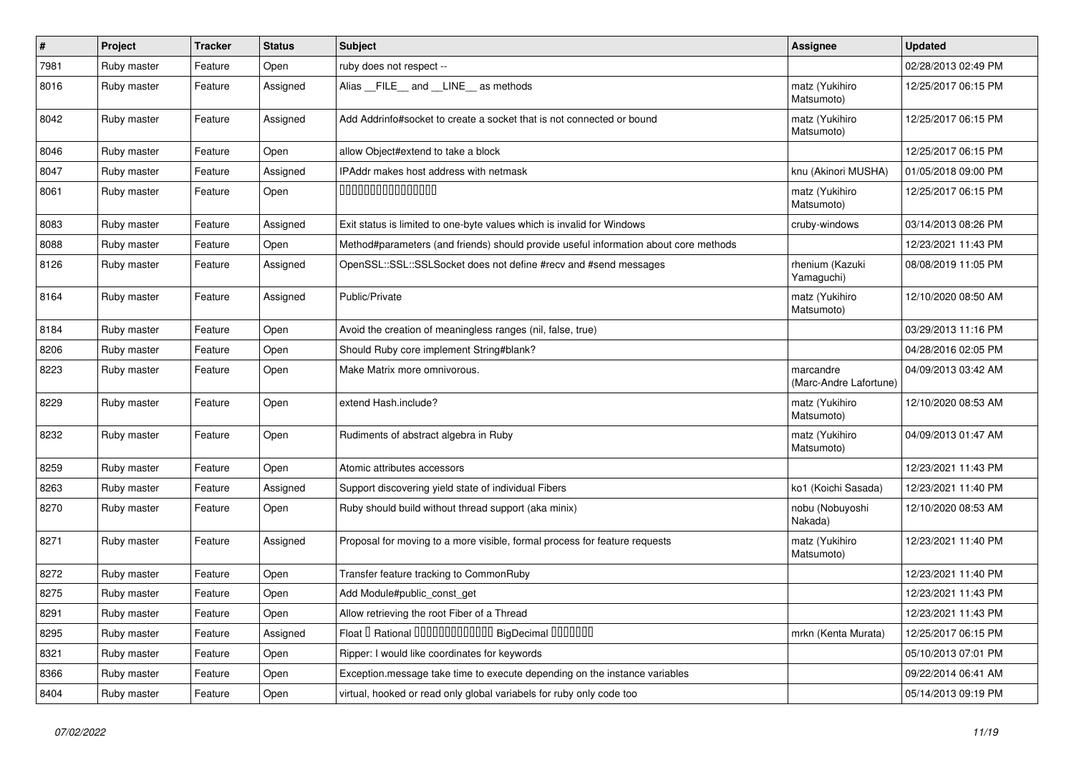| $\vert$ # | Project     | <b>Tracker</b> | <b>Status</b> | <b>Subject</b>                                                                       | <b>Assignee</b>                     | <b>Updated</b>      |
|-----------|-------------|----------------|---------------|--------------------------------------------------------------------------------------|-------------------------------------|---------------------|
| 7981      | Ruby master | Feature        | Open          | ruby does not respect --                                                             |                                     | 02/28/2013 02:49 PM |
| 8016      | Ruby master | Feature        | Assigned      | Alias FILE and LINE as methods                                                       | matz (Yukihiro<br>Matsumoto)        | 12/25/2017 06:15 PM |
| 8042      | Ruby master | Feature        | Assigned      | Add Addrinfo#socket to create a socket that is not connected or bound                | matz (Yukihiro<br>Matsumoto)        | 12/25/2017 06:15 PM |
| 8046      | Ruby master | Feature        | Open          | allow Object#extend to take a block                                                  |                                     | 12/25/2017 06:15 PM |
| 8047      | Ruby master | Feature        | Assigned      | IPAddr makes host address with netmask                                               | knu (Akinori MUSHA)                 | 01/05/2018 09:00 PM |
| 8061      | Ruby master | Feature        | Open          | 000000000000000                                                                      | matz (Yukihiro<br>Matsumoto)        | 12/25/2017 06:15 PM |
| 8083      | Ruby master | Feature        | Assigned      | Exit status is limited to one-byte values which is invalid for Windows               | cruby-windows                       | 03/14/2013 08:26 PM |
| 8088      | Ruby master | Feature        | Open          | Method#parameters (and friends) should provide useful information about core methods |                                     | 12/23/2021 11:43 PM |
| 8126      | Ruby master | Feature        | Assigned      | OpenSSL::SSL::SSLSocket does not define #recv and #send messages                     | rhenium (Kazuki<br>Yamaguchi)       | 08/08/2019 11:05 PM |
| 8164      | Ruby master | Feature        | Assigned      | Public/Private                                                                       | matz (Yukihiro<br>Matsumoto)        | 12/10/2020 08:50 AM |
| 8184      | Ruby master | Feature        | Open          | Avoid the creation of meaningless ranges (nil, false, true)                          |                                     | 03/29/2013 11:16 PM |
| 8206      | Ruby master | Feature        | Open          | Should Ruby core implement String#blank?                                             |                                     | 04/28/2016 02:05 PM |
| 8223      | Ruby master | Feature        | Open          | Make Matrix more omnivorous.                                                         | marcandre<br>(Marc-Andre Lafortune) | 04/09/2013 03:42 AM |
| 8229      | Ruby master | Feature        | Open          | extend Hash.include?                                                                 | matz (Yukihiro<br>Matsumoto)        | 12/10/2020 08:53 AM |
| 8232      | Ruby master | Feature        | Open          | Rudiments of abstract algebra in Ruby                                                | matz (Yukihiro<br>Matsumoto)        | 04/09/2013 01:47 AM |
| 8259      | Ruby master | Feature        | Open          | Atomic attributes accessors                                                          |                                     | 12/23/2021 11:43 PM |
| 8263      | Ruby master | Feature        | Assigned      | Support discovering yield state of individual Fibers                                 | ko1 (Koichi Sasada)                 | 12/23/2021 11:40 PM |
| 8270      | Ruby master | Feature        | Open          | Ruby should build without thread support (aka minix)                                 | nobu (Nobuyoshi<br>Nakada)          | 12/10/2020 08:53 AM |
| 8271      | Ruby master | Feature        | Assigned      | Proposal for moving to a more visible, formal process for feature requests           | matz (Yukihiro<br>Matsumoto)        | 12/23/2021 11:40 PM |
| 8272      | Ruby master | Feature        | Open          | Transfer feature tracking to CommonRuby                                              |                                     | 12/23/2021 11:40 PM |
| 8275      | Ruby master | Feature        | Open          | Add Module#public_const_get                                                          |                                     | 12/23/2021 11:43 PM |
| 8291      | Ruby master | Feature        | Open          | Allow retrieving the root Fiber of a Thread                                          |                                     | 12/23/2021 11:43 PM |
| 8295      | Ruby master | Feature        | Assigned      | Float I Rational 0000000000000 BigDecimal 0000000                                    | mrkn (Kenta Murata)                 | 12/25/2017 06:15 PM |
| 8321      | Ruby master | Feature        | Open          | Ripper: I would like coordinates for keywords                                        |                                     | 05/10/2013 07:01 PM |
| 8366      | Ruby master | Feature        | Open          | Exception message take time to execute depending on the instance variables           |                                     | 09/22/2014 06:41 AM |
| 8404      | Ruby master | Feature        | Open          | virtual, hooked or read only global variabels for ruby only code too                 |                                     | 05/14/2013 09:19 PM |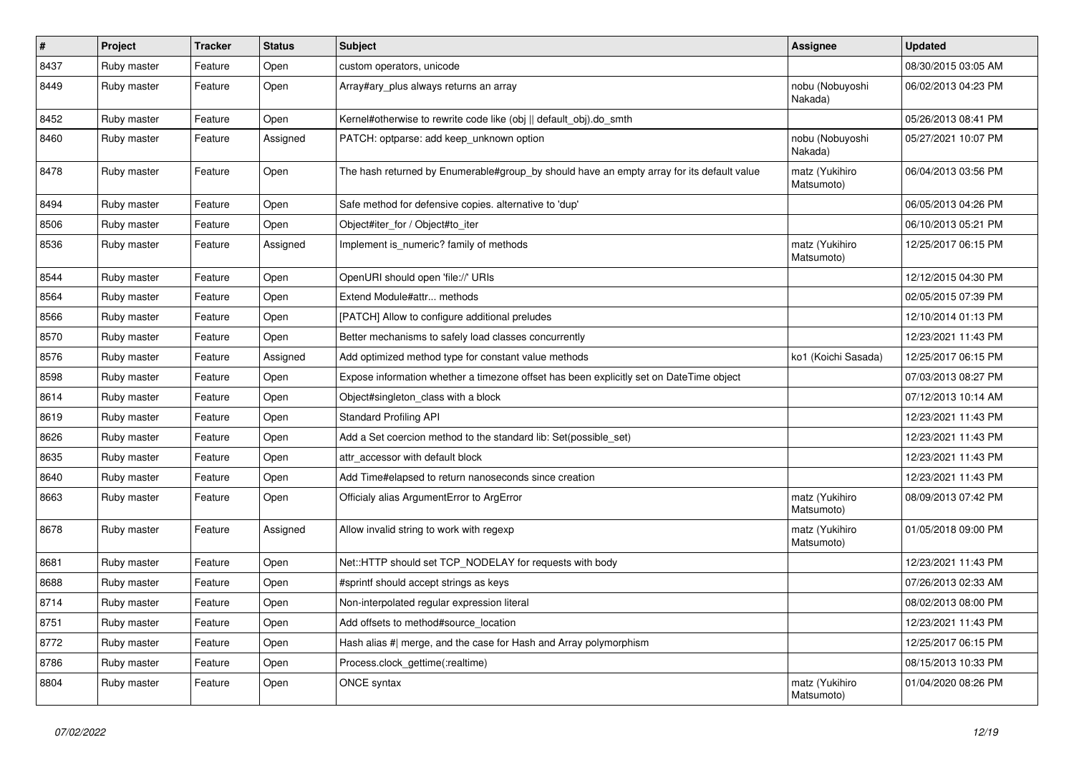| $\pmb{\#}$ | Project     | <b>Tracker</b> | <b>Status</b> | <b>Subject</b>                                                                            | Assignee                     | <b>Updated</b>      |
|------------|-------------|----------------|---------------|-------------------------------------------------------------------------------------------|------------------------------|---------------------|
| 8437       | Ruby master | Feature        | Open          | custom operators, unicode                                                                 |                              | 08/30/2015 03:05 AM |
| 8449       | Ruby master | Feature        | Open          | Array#ary plus always returns an array                                                    | nobu (Nobuyoshi<br>Nakada)   | 06/02/2013 04:23 PM |
| 8452       | Ruby master | Feature        | Open          | Kernel#otherwise to rewrite code like (obj    default obj).do smth                        |                              | 05/26/2013 08:41 PM |
| 8460       | Ruby master | Feature        | Assigned      | PATCH: optparse: add keep_unknown option                                                  | nobu (Nobuyoshi<br>Nakada)   | 05/27/2021 10:07 PM |
| 8478       | Ruby master | Feature        | Open          | The hash returned by Enumerable#group_by should have an empty array for its default value | matz (Yukihiro<br>Matsumoto) | 06/04/2013 03:56 PM |
| 8494       | Ruby master | Feature        | Open          | Safe method for defensive copies. alternative to 'dup'                                    |                              | 06/05/2013 04:26 PM |
| 8506       | Ruby master | Feature        | Open          | Object#iter_for / Object#to_iter                                                          |                              | 06/10/2013 05:21 PM |
| 8536       | Ruby master | Feature        | Assigned      | Implement is_numeric? family of methods                                                   | matz (Yukihiro<br>Matsumoto) | 12/25/2017 06:15 PM |
| 8544       | Ruby master | Feature        | Open          | OpenURI should open 'file://' URIs                                                        |                              | 12/12/2015 04:30 PM |
| 8564       | Ruby master | Feature        | Open          | Extend Module#attr methods                                                                |                              | 02/05/2015 07:39 PM |
| 8566       | Ruby master | Feature        | Open          | [PATCH] Allow to configure additional preludes                                            |                              | 12/10/2014 01:13 PM |
| 8570       | Ruby master | Feature        | Open          | Better mechanisms to safely load classes concurrently                                     |                              | 12/23/2021 11:43 PM |
| 8576       | Ruby master | Feature        | Assigned      | Add optimized method type for constant value methods                                      | ko1 (Koichi Sasada)          | 12/25/2017 06:15 PM |
| 8598       | Ruby master | Feature        | Open          | Expose information whether a timezone offset has been explicitly set on DateTime object   |                              | 07/03/2013 08:27 PM |
| 8614       | Ruby master | Feature        | Open          | Object#singleton class with a block                                                       |                              | 07/12/2013 10:14 AM |
| 8619       | Ruby master | Feature        | Open          | <b>Standard Profiling API</b>                                                             |                              | 12/23/2021 11:43 PM |
| 8626       | Ruby master | Feature        | Open          | Add a Set coercion method to the standard lib: Set(possible set)                          |                              | 12/23/2021 11:43 PM |
| 8635       | Ruby master | Feature        | Open          | attr accessor with default block                                                          |                              | 12/23/2021 11:43 PM |
| 8640       | Ruby master | Feature        | Open          | Add Time#elapsed to return nanoseconds since creation                                     |                              | 12/23/2021 11:43 PM |
| 8663       | Ruby master | Feature        | Open          | Officialy alias ArgumentError to ArgError                                                 | matz (Yukihiro<br>Matsumoto) | 08/09/2013 07:42 PM |
| 8678       | Ruby master | Feature        | Assigned      | Allow invalid string to work with regexp                                                  | matz (Yukihiro<br>Matsumoto) | 01/05/2018 09:00 PM |
| 8681       | Ruby master | Feature        | Open          | Net::HTTP should set TCP_NODELAY for requests with body                                   |                              | 12/23/2021 11:43 PM |
| 8688       | Ruby master | Feature        | Open          | #sprintf should accept strings as keys                                                    |                              | 07/26/2013 02:33 AM |
| 8714       | Ruby master | Feature        | Open          | Non-interpolated regular expression literal                                               |                              | 08/02/2013 08:00 PM |
| 8751       | Ruby master | Feature        | Open          | Add offsets to method#source_location                                                     |                              | 12/23/2021 11:43 PM |
| 8772       | Ruby master | Feature        | Open          | Hash alias #  merge, and the case for Hash and Array polymorphism                         |                              | 12/25/2017 06:15 PM |
| 8786       | Ruby master | Feature        | Open          | Process.clock_gettime(:realtime)                                                          |                              | 08/15/2013 10:33 PM |
| 8804       | Ruby master | Feature        | Open          | ONCE syntax                                                                               | matz (Yukihiro<br>Matsumoto) | 01/04/2020 08:26 PM |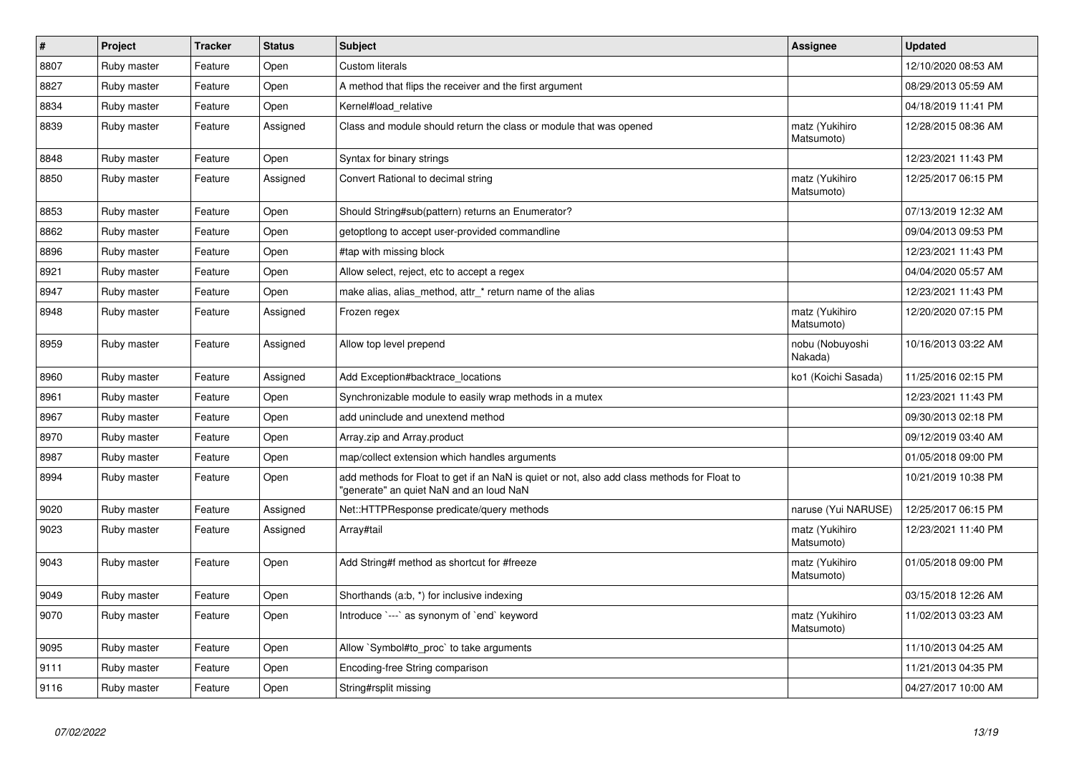| $\vert$ # | <b>Project</b> | <b>Tracker</b> | <b>Status</b> | <b>Subject</b>                                                                                                                         | Assignee                     | <b>Updated</b>      |
|-----------|----------------|----------------|---------------|----------------------------------------------------------------------------------------------------------------------------------------|------------------------------|---------------------|
| 8807      | Ruby master    | Feature        | Open          | <b>Custom literals</b>                                                                                                                 |                              | 12/10/2020 08:53 AM |
| 8827      | Ruby master    | Feature        | Open          | A method that flips the receiver and the first argument                                                                                |                              | 08/29/2013 05:59 AM |
| 8834      | Ruby master    | Feature        | Open          | Kernel#load relative                                                                                                                   |                              | 04/18/2019 11:41 PM |
| 8839      | Ruby master    | Feature        | Assigned      | Class and module should return the class or module that was opened                                                                     | matz (Yukihiro<br>Matsumoto) | 12/28/2015 08:36 AM |
| 8848      | Ruby master    | Feature        | Open          | Syntax for binary strings                                                                                                              |                              | 12/23/2021 11:43 PM |
| 8850      | Ruby master    | Feature        | Assigned      | Convert Rational to decimal string                                                                                                     | matz (Yukihiro<br>Matsumoto) | 12/25/2017 06:15 PM |
| 8853      | Ruby master    | Feature        | Open          | Should String#sub(pattern) returns an Enumerator?                                                                                      |                              | 07/13/2019 12:32 AM |
| 8862      | Ruby master    | Feature        | Open          | getoptiong to accept user-provided commandline                                                                                         |                              | 09/04/2013 09:53 PM |
| 8896      | Ruby master    | Feature        | Open          | #tap with missing block                                                                                                                |                              | 12/23/2021 11:43 PM |
| 8921      | Ruby master    | Feature        | Open          | Allow select, reject, etc to accept a regex                                                                                            |                              | 04/04/2020 05:57 AM |
| 8947      | Ruby master    | Feature        | Open          | make alias, alias method, attr * return name of the alias                                                                              |                              | 12/23/2021 11:43 PM |
| 8948      | Ruby master    | Feature        | Assigned      | Frozen regex                                                                                                                           | matz (Yukihiro<br>Matsumoto) | 12/20/2020 07:15 PM |
| 8959      | Ruby master    | Feature        | Assigned      | Allow top level prepend                                                                                                                | nobu (Nobuyoshi<br>Nakada)   | 10/16/2013 03:22 AM |
| 8960      | Ruby master    | Feature        | Assigned      | Add Exception#backtrace_locations                                                                                                      | ko1 (Koichi Sasada)          | 11/25/2016 02:15 PM |
| 8961      | Ruby master    | Feature        | Open          | Synchronizable module to easily wrap methods in a mutex                                                                                |                              | 12/23/2021 11:43 PM |
| 8967      | Ruby master    | Feature        | Open          | add uninclude and unextend method                                                                                                      |                              | 09/30/2013 02:18 PM |
| 8970      | Ruby master    | Feature        | Open          | Array.zip and Array.product                                                                                                            |                              | 09/12/2019 03:40 AM |
| 8987      | Ruby master    | Feature        | Open          | map/collect extension which handles arguments                                                                                          |                              | 01/05/2018 09:00 PM |
| 8994      | Ruby master    | Feature        | Open          | add methods for Float to get if an NaN is quiet or not, also add class methods for Float to<br>"generate" an quiet NaN and an loud NaN |                              | 10/21/2019 10:38 PM |
| 9020      | Ruby master    | Feature        | Assigned      | Net::HTTPResponse predicate/query methods                                                                                              | naruse (Yui NARUSE)          | 12/25/2017 06:15 PM |
| 9023      | Ruby master    | Feature        | Assigned      | Array#tail                                                                                                                             | matz (Yukihiro<br>Matsumoto) | 12/23/2021 11:40 PM |
| 9043      | Ruby master    | Feature        | Open          | Add String#f method as shortcut for #freeze                                                                                            | matz (Yukihiro<br>Matsumoto) | 01/05/2018 09:00 PM |
| 9049      | Ruby master    | Feature        | Open          | Shorthands (a:b, *) for inclusive indexing                                                                                             |                              | 03/15/2018 12:26 AM |
| 9070      | Ruby master    | Feature        | Open          | Introduce `---` as synonym of `end` keyword                                                                                            | matz (Yukihiro<br>Matsumoto) | 11/02/2013 03:23 AM |
| 9095      | Ruby master    | Feature        | Open          | Allow `Symbol#to_proc` to take arguments                                                                                               |                              | 11/10/2013 04:25 AM |
| 9111      | Ruby master    | Feature        | Open          | Encoding-free String comparison                                                                                                        |                              | 11/21/2013 04:35 PM |
| 9116      | Ruby master    | Feature        | Open          | String#rsplit missing                                                                                                                  |                              | 04/27/2017 10:00 AM |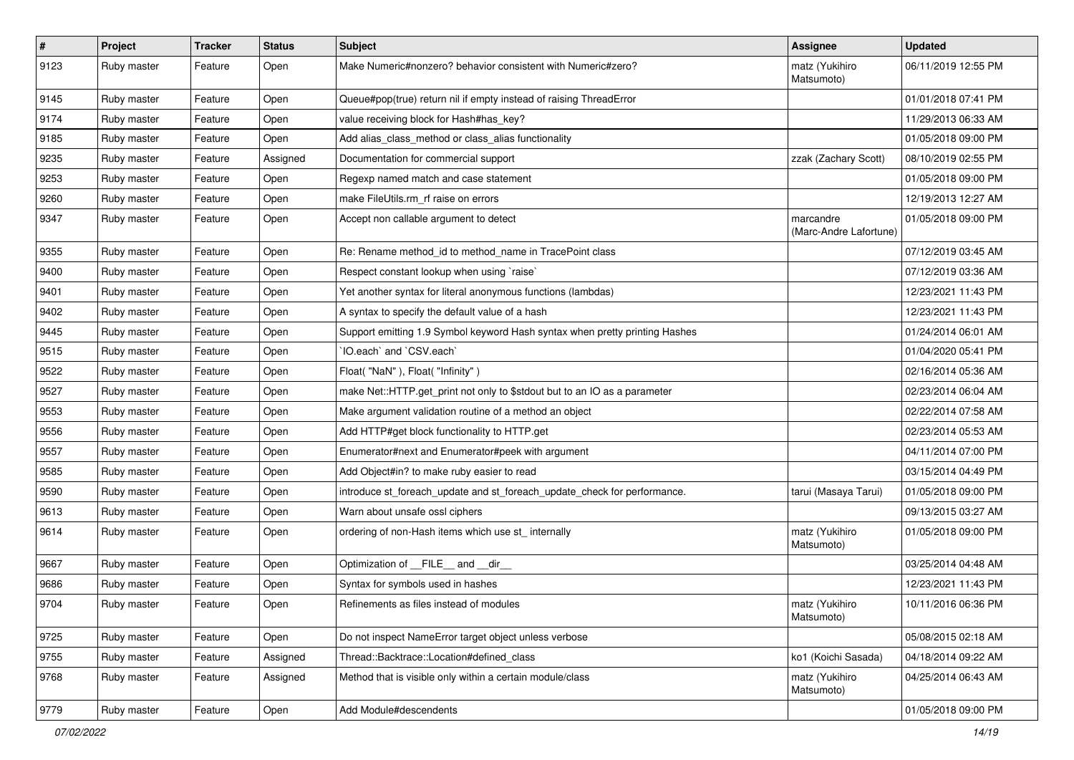| $\vert$ # | <b>Project</b> | <b>Tracker</b> | <b>Status</b> | Subject                                                                     | Assignee                            | <b>Updated</b>      |
|-----------|----------------|----------------|---------------|-----------------------------------------------------------------------------|-------------------------------------|---------------------|
| 9123      | Ruby master    | Feature        | Open          | Make Numeric#nonzero? behavior consistent with Numeric#zero?                | matz (Yukihiro<br>Matsumoto)        | 06/11/2019 12:55 PM |
| 9145      | Ruby master    | Feature        | Open          | Queue#pop(true) return nil if empty instead of raising ThreadError          |                                     | 01/01/2018 07:41 PM |
| 9174      | Ruby master    | Feature        | Open          | value receiving block for Hash#has_key?                                     |                                     | 11/29/2013 06:33 AM |
| 9185      | Ruby master    | Feature        | Open          | Add alias_class_method or class_alias functionality                         |                                     | 01/05/2018 09:00 PM |
| 9235      | Ruby master    | Feature        | Assigned      | Documentation for commercial support                                        | zzak (Zachary Scott)                | 08/10/2019 02:55 PM |
| 9253      | Ruby master    | Feature        | Open          | Regexp named match and case statement                                       |                                     | 01/05/2018 09:00 PM |
| 9260      | Ruby master    | Feature        | Open          | make FileUtils.rm rf raise on errors                                        |                                     | 12/19/2013 12:27 AM |
| 9347      | Ruby master    | Feature        | Open          | Accept non callable argument to detect                                      | marcandre<br>(Marc-Andre Lafortune) | 01/05/2018 09:00 PM |
| 9355      | Ruby master    | Feature        | Open          | Re: Rename method id to method name in TracePoint class                     |                                     | 07/12/2019 03:45 AM |
| 9400      | Ruby master    | Feature        | Open          | Respect constant lookup when using `raise`                                  |                                     | 07/12/2019 03:36 AM |
| 9401      | Ruby master    | Feature        | Open          | Yet another syntax for literal anonymous functions (lambdas)                |                                     | 12/23/2021 11:43 PM |
| 9402      | Ruby master    | Feature        | Open          | A syntax to specify the default value of a hash                             |                                     | 12/23/2021 11:43 PM |
| 9445      | Ruby master    | Feature        | Open          | Support emitting 1.9 Symbol keyword Hash syntax when pretty printing Hashes |                                     | 01/24/2014 06:01 AM |
| 9515      | Ruby master    | Feature        | Open          | 'IO.each' and 'CSV.each'                                                    |                                     | 01/04/2020 05:41 PM |
| 9522      | Ruby master    | Feature        | Open          | Float("NaN"), Float("Infinity")                                             |                                     | 02/16/2014 05:36 AM |
| 9527      | Ruby master    | Feature        | Open          | make Net::HTTP.get_print not only to \$stdout but to an IO as a parameter   |                                     | 02/23/2014 06:04 AM |
| 9553      | Ruby master    | Feature        | Open          | Make argument validation routine of a method an object                      |                                     | 02/22/2014 07:58 AM |
| 9556      | Ruby master    | Feature        | Open          | Add HTTP#get block functionality to HTTP.get                                |                                     | 02/23/2014 05:53 AM |
| 9557      | Ruby master    | Feature        | Open          | Enumerator#next and Enumerator#peek with argument                           |                                     | 04/11/2014 07:00 PM |
| 9585      | Ruby master    | Feature        | Open          | Add Object#in? to make ruby easier to read                                  |                                     | 03/15/2014 04:49 PM |
| 9590      | Ruby master    | Feature        | Open          | introduce st_foreach_update and st_foreach_update_check for performance.    | tarui (Masaya Tarui)                | 01/05/2018 09:00 PM |
| 9613      | Ruby master    | Feature        | Open          | Warn about unsafe ossl ciphers                                              |                                     | 09/13/2015 03:27 AM |
| 9614      | Ruby master    | Feature        | Open          | ordering of non-Hash items which use st_ internally                         | matz (Yukihiro<br>Matsumoto)        | 01/05/2018 09:00 PM |
| 9667      | Ruby master    | Feature        | Open          | Optimization of FILE_and _dir                                               |                                     | 03/25/2014 04:48 AM |
| 9686      | Ruby master    | Feature        | Open          | Syntax for symbols used in hashes                                           |                                     | 12/23/2021 11:43 PM |
| 9704      | Ruby master    | Feature        | Open          | Refinements as files instead of modules                                     | matz (Yukihiro<br>Matsumoto)        | 10/11/2016 06:36 PM |
| 9725      | Ruby master    | Feature        | Open          | Do not inspect NameError target object unless verbose                       |                                     | 05/08/2015 02:18 AM |
| 9755      | Ruby master    | Feature        | Assigned      | Thread::Backtrace::Location#defined class                                   | ko1 (Koichi Sasada)                 | 04/18/2014 09:22 AM |
| 9768      | Ruby master    | Feature        | Assigned      | Method that is visible only within a certain module/class                   | matz (Yukihiro<br>Matsumoto)        | 04/25/2014 06:43 AM |
| 9779      | Ruby master    | Feature        | Open          | Add Module#descendents                                                      |                                     | 01/05/2018 09:00 PM |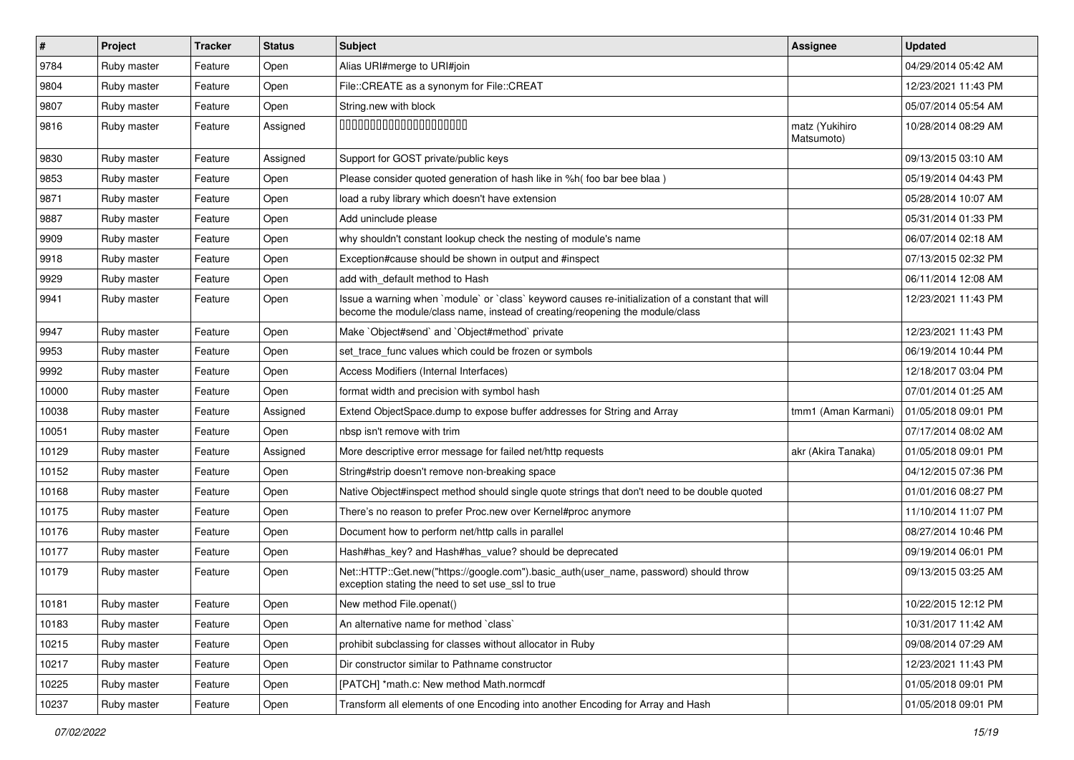| $\vert$ # | <b>Project</b> | Tracker | <b>Status</b> | <b>Subject</b>                                                                                                                                                                    | Assignee                     | <b>Updated</b>      |
|-----------|----------------|---------|---------------|-----------------------------------------------------------------------------------------------------------------------------------------------------------------------------------|------------------------------|---------------------|
| 9784      | Ruby master    | Feature | Open          | Alias URI#merge to URI#join                                                                                                                                                       |                              | 04/29/2014 05:42 AM |
| 9804      | Ruby master    | Feature | Open          | File::CREATE as a synonym for File::CREAT                                                                                                                                         |                              | 12/23/2021 11:43 PM |
| 9807      | Ruby master    | Feature | Open          | String.new with block                                                                                                                                                             |                              | 05/07/2014 05:54 AM |
| 9816      | Ruby master    | Feature | Assigned      | 00000000000000000000                                                                                                                                                              | matz (Yukihiro<br>Matsumoto) | 10/28/2014 08:29 AM |
| 9830      | Ruby master    | Feature | Assigned      | Support for GOST private/public keys                                                                                                                                              |                              | 09/13/2015 03:10 AM |
| 9853      | Ruby master    | Feature | Open          | Please consider quoted generation of hash like in %h( foo bar bee blaa)                                                                                                           |                              | 05/19/2014 04:43 PM |
| 9871      | Ruby master    | Feature | Open          | load a ruby library which doesn't have extension                                                                                                                                  |                              | 05/28/2014 10:07 AM |
| 9887      | Ruby master    | Feature | Open          | Add uninclude please                                                                                                                                                              |                              | 05/31/2014 01:33 PM |
| 9909      | Ruby master    | Feature | Open          | why shouldn't constant lookup check the nesting of module's name                                                                                                                  |                              | 06/07/2014 02:18 AM |
| 9918      | Ruby master    | Feature | Open          | Exception#cause should be shown in output and #inspect                                                                                                                            |                              | 07/13/2015 02:32 PM |
| 9929      | Ruby master    | Feature | Open          | add with default method to Hash                                                                                                                                                   |                              | 06/11/2014 12:08 AM |
| 9941      | Ruby master    | Feature | Open          | Issue a warning when 'module' or 'class' keyword causes re-initialization of a constant that will<br>become the module/class name, instead of creating/reopening the module/class |                              | 12/23/2021 11:43 PM |
| 9947      | Ruby master    | Feature | Open          | Make `Object#send` and `Object#method` private                                                                                                                                    |                              | 12/23/2021 11:43 PM |
| 9953      | Ruby master    | Feature | Open          | set trace func values which could be frozen or symbols                                                                                                                            |                              | 06/19/2014 10:44 PM |
| 9992      | Ruby master    | Feature | Open          | Access Modifiers (Internal Interfaces)                                                                                                                                            |                              | 12/18/2017 03:04 PM |
| 10000     | Ruby master    | Feature | Open          | format width and precision with symbol hash                                                                                                                                       |                              | 07/01/2014 01:25 AM |
| 10038     | Ruby master    | Feature | Assigned      | Extend ObjectSpace.dump to expose buffer addresses for String and Array                                                                                                           | tmm1 (Aman Karmani)          | 01/05/2018 09:01 PM |
| 10051     | Ruby master    | Feature | Open          | nbsp isn't remove with trim                                                                                                                                                       |                              | 07/17/2014 08:02 AM |
| 10129     | Ruby master    | Feature | Assigned      | More descriptive error message for failed net/http requests                                                                                                                       | akr (Akira Tanaka)           | 01/05/2018 09:01 PM |
| 10152     | Ruby master    | Feature | Open          | String#strip doesn't remove non-breaking space                                                                                                                                    |                              | 04/12/2015 07:36 PM |
| 10168     | Ruby master    | Feature | Open          | Native Object#inspect method should single quote strings that don't need to be double quoted                                                                                      |                              | 01/01/2016 08:27 PM |
| 10175     | Ruby master    | Feature | Open          | There's no reason to prefer Proc.new over Kernel#proc anymore                                                                                                                     |                              | 11/10/2014 11:07 PM |
| 10176     | Ruby master    | Feature | Open          | Document how to perform net/http calls in parallel                                                                                                                                |                              | 08/27/2014 10:46 PM |
| 10177     | Ruby master    | Feature | Open          | Hash#has_key? and Hash#has_value? should be deprecated                                                                                                                            |                              | 09/19/2014 06:01 PM |
| 10179     | Ruby master    | Feature | Open          | Net::HTTP::Get.new("https://google.com").basic_auth(user_name, password) should throw<br>exception stating the need to set use_ssl to true                                        |                              | 09/13/2015 03:25 AM |
| 10181     | Ruby master    | Feature | Open          | New method File.openat()                                                                                                                                                          |                              | 10/22/2015 12:12 PM |
| 10183     | Ruby master    | Feature | Open          | An alternative name for method `class`                                                                                                                                            |                              | 10/31/2017 11:42 AM |
| 10215     | Ruby master    | Feature | Open          | prohibit subclassing for classes without allocator in Ruby                                                                                                                        |                              | 09/08/2014 07:29 AM |
| 10217     | Ruby master    | Feature | Open          | Dir constructor similar to Pathname constructor                                                                                                                                   |                              | 12/23/2021 11:43 PM |
| 10225     | Ruby master    | Feature | Open          | [PATCH] *math.c: New method Math.normcdf                                                                                                                                          |                              | 01/05/2018 09:01 PM |
| 10237     | Ruby master    | Feature | Open          | Transform all elements of one Encoding into another Encoding for Array and Hash                                                                                                   |                              | 01/05/2018 09:01 PM |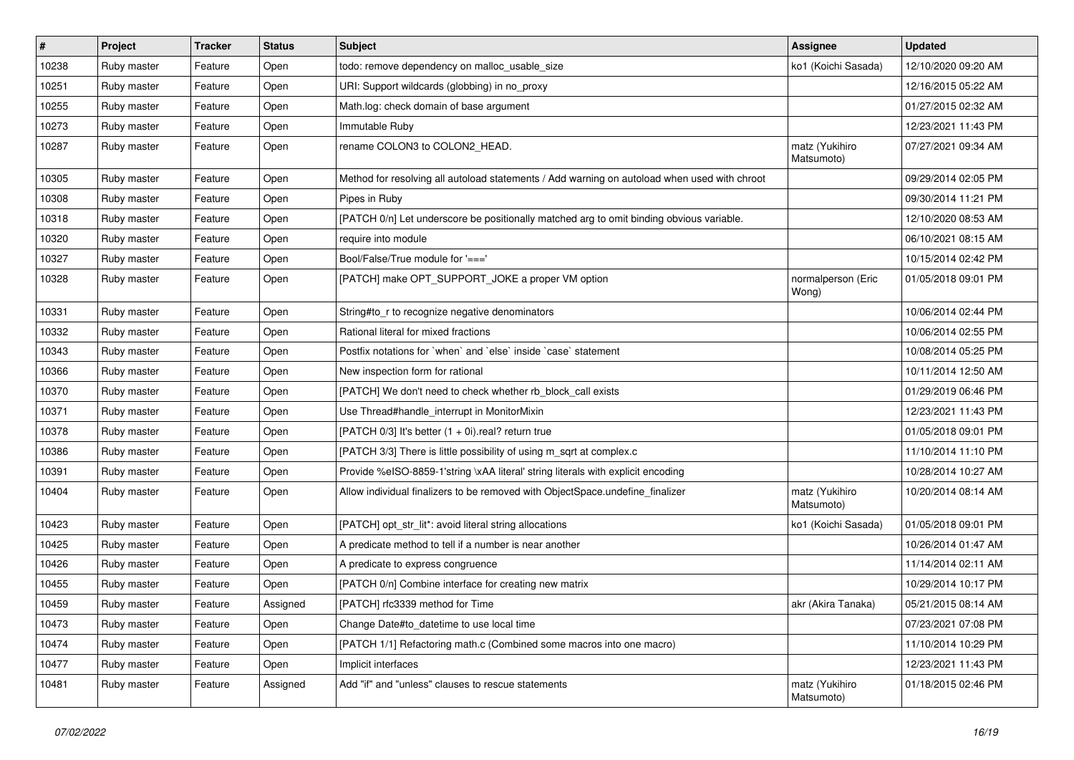| #     | Project     | <b>Tracker</b> | <b>Status</b> | Subject                                                                                      | <b>Assignee</b>              | <b>Updated</b>      |
|-------|-------------|----------------|---------------|----------------------------------------------------------------------------------------------|------------------------------|---------------------|
| 10238 | Ruby master | Feature        | Open          | todo: remove dependency on malloc_usable_size                                                | ko1 (Koichi Sasada)          | 12/10/2020 09:20 AM |
| 10251 | Ruby master | Feature        | Open          | URI: Support wildcards (globbing) in no_proxy                                                |                              | 12/16/2015 05:22 AM |
| 10255 | Ruby master | Feature        | Open          | Math.log: check domain of base argument                                                      |                              | 01/27/2015 02:32 AM |
| 10273 | Ruby master | Feature        | Open          | Immutable Ruby                                                                               |                              | 12/23/2021 11:43 PM |
| 10287 | Ruby master | Feature        | Open          | rename COLON3 to COLON2_HEAD.                                                                | matz (Yukihiro<br>Matsumoto) | 07/27/2021 09:34 AM |
| 10305 | Ruby master | Feature        | Open          | Method for resolving all autoload statements / Add warning on autoload when used with chroot |                              | 09/29/2014 02:05 PM |
| 10308 | Ruby master | Feature        | Open          | Pipes in Ruby                                                                                |                              | 09/30/2014 11:21 PM |
| 10318 | Ruby master | Feature        | Open          | [PATCH 0/n] Let underscore be positionally matched arg to omit binding obvious variable.     |                              | 12/10/2020 08:53 AM |
| 10320 | Ruby master | Feature        | Open          | require into module                                                                          |                              | 06/10/2021 08:15 AM |
| 10327 | Ruby master | Feature        | Open          | Bool/False/True module for '==='                                                             |                              | 10/15/2014 02:42 PM |
| 10328 | Ruby master | Feature        | Open          | [PATCH] make OPT_SUPPORT_JOKE a proper VM option                                             | normalperson (Eric<br>Wong)  | 01/05/2018 09:01 PM |
| 10331 | Ruby master | Feature        | Open          | String#to_r to recognize negative denominators                                               |                              | 10/06/2014 02:44 PM |
| 10332 | Ruby master | Feature        | Open          | Rational literal for mixed fractions                                                         |                              | 10/06/2014 02:55 PM |
| 10343 | Ruby master | Feature        | Open          | Postfix notations for 'when' and 'else' inside 'case' statement                              |                              | 10/08/2014 05:25 PM |
| 10366 | Ruby master | Feature        | Open          | New inspection form for rational                                                             |                              | 10/11/2014 12:50 AM |
| 10370 | Ruby master | Feature        | Open          | [PATCH] We don't need to check whether rb_block_call exists                                  |                              | 01/29/2019 06:46 PM |
| 10371 | Ruby master | Feature        | Open          | Use Thread#handle_interrupt in MonitorMixin                                                  |                              | 12/23/2021 11:43 PM |
| 10378 | Ruby master | Feature        | Open          | [PATCH 0/3] It's better (1 + 0i).real? return true                                           |                              | 01/05/2018 09:01 PM |
| 10386 | Ruby master | Feature        | Open          | [PATCH 3/3] There is little possibility of using m_sqrt at complex.c                         |                              | 11/10/2014 11:10 PM |
| 10391 | Ruby master | Feature        | Open          | Provide %eISO-8859-1'string \xAA literal' string literals with explicit encoding             |                              | 10/28/2014 10:27 AM |
| 10404 | Ruby master | Feature        | Open          | Allow individual finalizers to be removed with ObjectSpace.undefine_finalizer                | matz (Yukihiro<br>Matsumoto) | 10/20/2014 08:14 AM |
| 10423 | Ruby master | Feature        | Open          | [PATCH] opt_str_lit*: avoid literal string allocations                                       | ko1 (Koichi Sasada)          | 01/05/2018 09:01 PM |
| 10425 | Ruby master | Feature        | Open          | A predicate method to tell if a number is near another                                       |                              | 10/26/2014 01:47 AM |
| 10426 | Ruby master | Feature        | Open          | A predicate to express congruence                                                            |                              | 11/14/2014 02:11 AM |
| 10455 | Ruby master | Feature        | Open          | [PATCH 0/n] Combine interface for creating new matrix                                        |                              | 10/29/2014 10:17 PM |
| 10459 | Ruby master | Feature        | Assigned      | [PATCH] rfc3339 method for Time                                                              | akr (Akira Tanaka)           | 05/21/2015 08:14 AM |
| 10473 | Ruby master | Feature        | Open          | Change Date#to datetime to use local time                                                    |                              | 07/23/2021 07:08 PM |
| 10474 | Ruby master | Feature        | Open          | [PATCH 1/1] Refactoring math.c (Combined some macros into one macro)                         |                              | 11/10/2014 10:29 PM |
| 10477 | Ruby master | Feature        | Open          | Implicit interfaces                                                                          |                              | 12/23/2021 11:43 PM |
| 10481 | Ruby master | Feature        | Assigned      | Add "if" and "unless" clauses to rescue statements                                           | matz (Yukihiro<br>Matsumoto) | 01/18/2015 02:46 PM |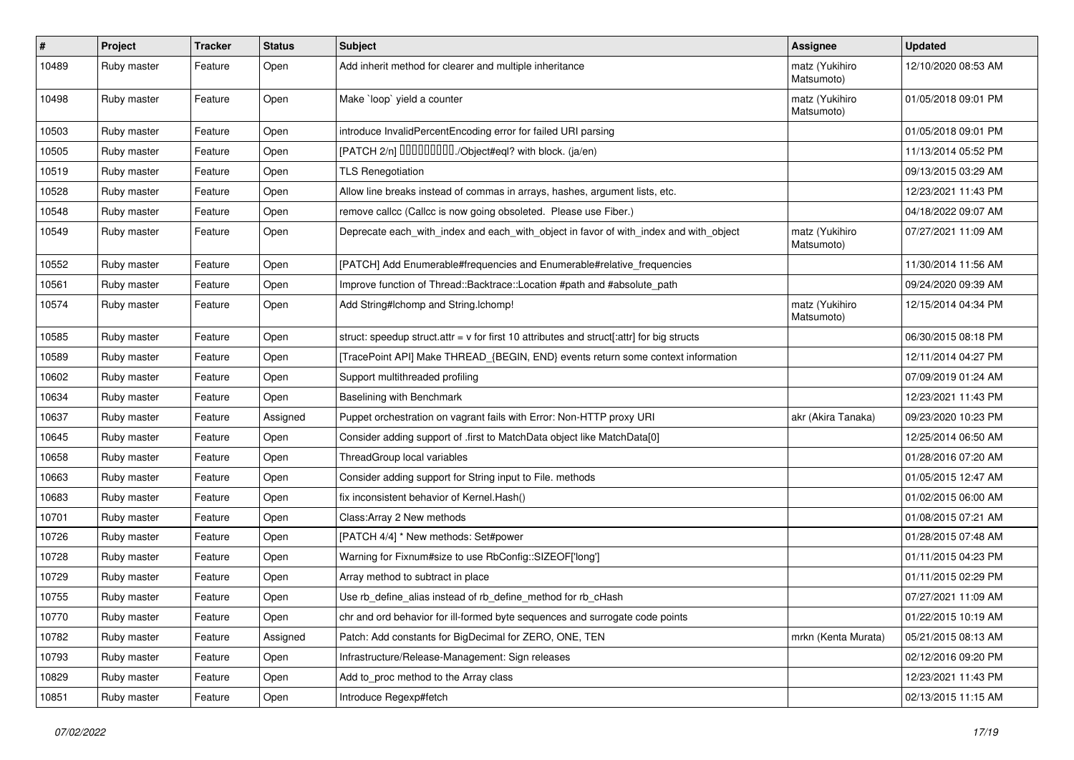| $\sharp$ | Project     | <b>Tracker</b> | <b>Status</b> | <b>Subject</b>                                                                              | <b>Assignee</b>              | <b>Updated</b>      |
|----------|-------------|----------------|---------------|---------------------------------------------------------------------------------------------|------------------------------|---------------------|
| 10489    | Ruby master | Feature        | Open          | Add inherit method for clearer and multiple inheritance                                     | matz (Yukihiro<br>Matsumoto) | 12/10/2020 08:53 AM |
| 10498    | Ruby master | Feature        | Open          | Make `loop` yield a counter                                                                 | matz (Yukihiro<br>Matsumoto) | 01/05/2018 09:01 PM |
| 10503    | Ruby master | Feature        | Open          | introduce InvalidPercentEncoding error for failed URI parsing                               |                              | 01/05/2018 09:01 PM |
| 10505    | Ruby master | Feature        | Open          | [PATCH 2/n] DDDDDDDD./Object#eql? with block. (ja/en)                                       |                              | 11/13/2014 05:52 PM |
| 10519    | Ruby master | Feature        | Open          | <b>TLS Renegotiation</b>                                                                    |                              | 09/13/2015 03:29 AM |
| 10528    | Ruby master | Feature        | Open          | Allow line breaks instead of commas in arrays, hashes, argument lists, etc.                 |                              | 12/23/2021 11:43 PM |
| 10548    | Ruby master | Feature        | Open          | remove callcc (Callcc is now going obsoleted. Please use Fiber.)                            |                              | 04/18/2022 09:07 AM |
| 10549    | Ruby master | Feature        | Open          | Deprecate each_with_index and each_with_object in favor of with_index and with_object       | matz (Yukihiro<br>Matsumoto) | 07/27/2021 11:09 AM |
| 10552    | Ruby master | Feature        | Open          | [PATCH] Add Enumerable#frequencies and Enumerable#relative_frequencies                      |                              | 11/30/2014 11:56 AM |
| 10561    | Ruby master | Feature        | Open          | Improve function of Thread::Backtrace::Location #path and #absolute_path                    |                              | 09/24/2020 09:39 AM |
| 10574    | Ruby master | Feature        | Open          | Add String#Ichomp and String.Ichomp!                                                        | matz (Yukihiro<br>Matsumoto) | 12/15/2014 04:34 PM |
| 10585    | Ruby master | Feature        | Open          | struct: speedup struct.attr = $v$ for first 10 attributes and struct[:attr] for big structs |                              | 06/30/2015 08:18 PM |
| 10589    | Ruby master | Feature        | Open          | [TracePoint API] Make THREAD_{BEGIN, END} events return some context information            |                              | 12/11/2014 04:27 PM |
| 10602    | Ruby master | Feature        | Open          | Support multithreaded profiling                                                             |                              | 07/09/2019 01:24 AM |
| 10634    | Ruby master | Feature        | Open          | Baselining with Benchmark                                                                   |                              | 12/23/2021 11:43 PM |
| 10637    | Ruby master | Feature        | Assigned      | Puppet orchestration on vagrant fails with Error: Non-HTTP proxy URI                        | akr (Akira Tanaka)           | 09/23/2020 10:23 PM |
| 10645    | Ruby master | Feature        | Open          | Consider adding support of .first to MatchData object like MatchData[0]                     |                              | 12/25/2014 06:50 AM |
| 10658    | Ruby master | Feature        | Open          | ThreadGroup local variables                                                                 |                              | 01/28/2016 07:20 AM |
| 10663    | Ruby master | Feature        | Open          | Consider adding support for String input to File. methods                                   |                              | 01/05/2015 12:47 AM |
| 10683    | Ruby master | Feature        | Open          | fix inconsistent behavior of Kernel. Hash()                                                 |                              | 01/02/2015 06:00 AM |
| 10701    | Ruby master | Feature        | Open          | Class: Array 2 New methods                                                                  |                              | 01/08/2015 07:21 AM |
| 10726    | Ruby master | Feature        | Open          | [PATCH 4/4] * New methods: Set#power                                                        |                              | 01/28/2015 07:48 AM |
| 10728    | Ruby master | Feature        | Open          | Warning for Fixnum#size to use RbConfig::SIZEOF['long']                                     |                              | 01/11/2015 04:23 PM |
| 10729    | Ruby master | Feature        | Open          | Array method to subtract in place                                                           |                              | 01/11/2015 02:29 PM |
| 10755    | Ruby master | Feature        | Open          | Use rb_define_alias instead of rb_define_method for rb_cHash                                |                              | 07/27/2021 11:09 AM |
| 10770    | Ruby master | Feature        | Open          | chr and ord behavior for ill-formed byte sequences and surrogate code points                |                              | 01/22/2015 10:19 AM |
| 10782    | Ruby master | Feature        | Assigned      | Patch: Add constants for BigDecimal for ZERO, ONE, TEN                                      | mrkn (Kenta Murata)          | 05/21/2015 08:13 AM |
| 10793    | Ruby master | Feature        | Open          | Infrastructure/Release-Management: Sign releases                                            |                              | 02/12/2016 09:20 PM |
| 10829    | Ruby master | Feature        | Open          | Add to_proc method to the Array class                                                       |                              | 12/23/2021 11:43 PM |
| 10851    | Ruby master | Feature        | Open          | Introduce Regexp#fetch                                                                      |                              | 02/13/2015 11:15 AM |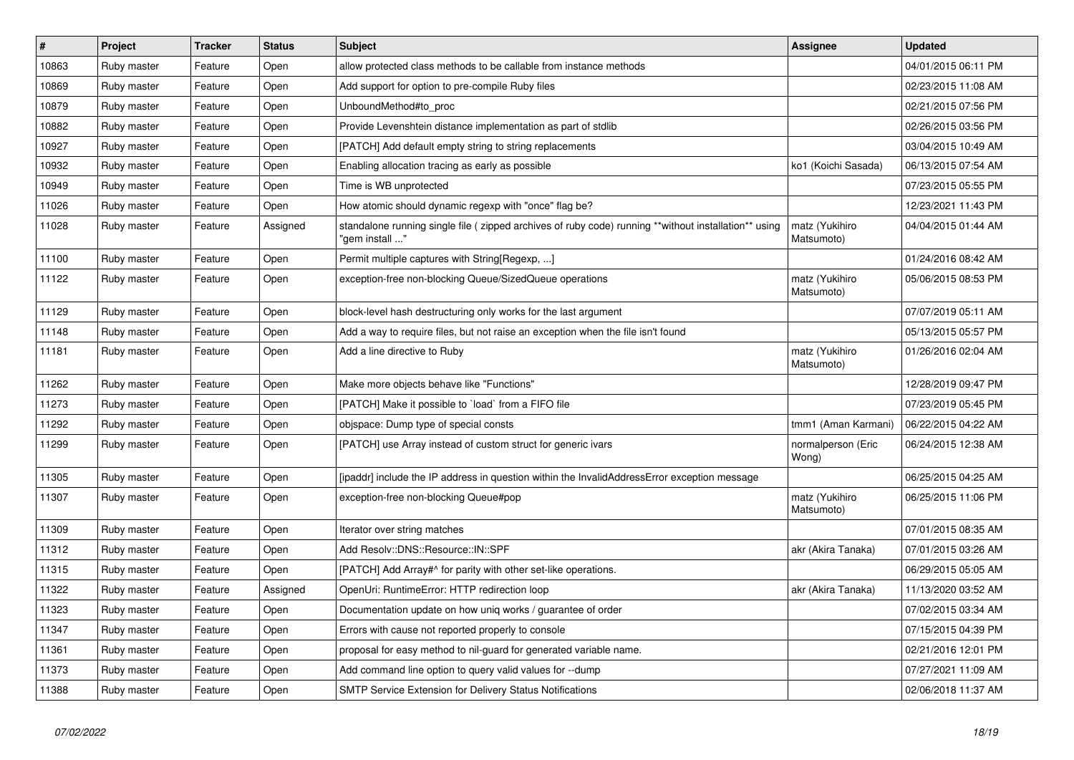| $\vert$ # | <b>Project</b> | <b>Tracker</b> | <b>Status</b> | <b>Subject</b>                                                                                                          | Assignee                     | <b>Updated</b>      |
|-----------|----------------|----------------|---------------|-------------------------------------------------------------------------------------------------------------------------|------------------------------|---------------------|
| 10863     | Ruby master    | Feature        | Open          | allow protected class methods to be callable from instance methods                                                      |                              | 04/01/2015 06:11 PM |
| 10869     | Ruby master    | Feature        | Open          | Add support for option to pre-compile Ruby files                                                                        |                              | 02/23/2015 11:08 AM |
| 10879     | Ruby master    | Feature        | Open          | UnboundMethod#to_proc                                                                                                   |                              | 02/21/2015 07:56 PM |
| 10882     | Ruby master    | Feature        | Open          | Provide Levenshtein distance implementation as part of stdlib                                                           |                              | 02/26/2015 03:56 PM |
| 10927     | Ruby master    | Feature        | Open          | [PATCH] Add default empty string to string replacements                                                                 |                              | 03/04/2015 10:49 AM |
| 10932     | Ruby master    | Feature        | Open          | Enabling allocation tracing as early as possible                                                                        | ko1 (Koichi Sasada)          | 06/13/2015 07:54 AM |
| 10949     | Ruby master    | Feature        | Open          | Time is WB unprotected                                                                                                  |                              | 07/23/2015 05:55 PM |
| 11026     | Ruby master    | Feature        | Open          | How atomic should dynamic regexp with "once" flag be?                                                                   |                              | 12/23/2021 11:43 PM |
| 11028     | Ruby master    | Feature        | Assigned      | standalone running single file ( zipped archives of ruby code) running **without installation** using<br>" gem install' | matz (Yukihiro<br>Matsumoto) | 04/04/2015 01:44 AM |
| 11100     | Ruby master    | Feature        | Open          | Permit multiple captures with String[Regexp, ]                                                                          |                              | 01/24/2016 08:42 AM |
| 11122     | Ruby master    | Feature        | Open          | exception-free non-blocking Queue/SizedQueue operations                                                                 | matz (Yukihiro<br>Matsumoto) | 05/06/2015 08:53 PM |
| 11129     | Ruby master    | Feature        | Open          | block-level hash destructuring only works for the last argument                                                         |                              | 07/07/2019 05:11 AM |
| 11148     | Ruby master    | Feature        | Open          | Add a way to require files, but not raise an exception when the file isn't found                                        |                              | 05/13/2015 05:57 PM |
| 11181     | Ruby master    | Feature        | Open          | Add a line directive to Ruby                                                                                            | matz (Yukihiro<br>Matsumoto) | 01/26/2016 02:04 AM |
| 11262     | Ruby master    | Feature        | Open          | Make more objects behave like "Functions"                                                                               |                              | 12/28/2019 09:47 PM |
| 11273     | Ruby master    | Feature        | Open          | [PATCH] Make it possible to `load` from a FIFO file                                                                     |                              | 07/23/2019 05:45 PM |
| 11292     | Ruby master    | Feature        | Open          | objspace: Dump type of special consts                                                                                   | tmm1 (Aman Karmani)          | 06/22/2015 04:22 AM |
| 11299     | Ruby master    | Feature        | Open          | [PATCH] use Array instead of custom struct for generic ivars                                                            | normalperson (Eric<br>Wong)  | 06/24/2015 12:38 AM |
| 11305     | Ruby master    | Feature        | Open          | [ipaddr] include the IP address in question within the InvalidAddressError exception message                            |                              | 06/25/2015 04:25 AM |
| 11307     | Ruby master    | Feature        | Open          | exception-free non-blocking Queue#pop                                                                                   | matz (Yukihiro<br>Matsumoto) | 06/25/2015 11:06 PM |
| 11309     | Ruby master    | Feature        | Open          | Iterator over string matches                                                                                            |                              | 07/01/2015 08:35 AM |
| 11312     | Ruby master    | Feature        | Open          | Add Resolv::DNS::Resource::IN::SPF                                                                                      | akr (Akira Tanaka)           | 07/01/2015 03:26 AM |
| 11315     | Ruby master    | Feature        | Open          | [PATCH] Add Array#^ for parity with other set-like operations.                                                          |                              | 06/29/2015 05:05 AM |
| 11322     | Ruby master    | Feature        | Assigned      | OpenUri: RuntimeError: HTTP redirection loop                                                                            | akr (Akira Tanaka)           | 11/13/2020 03:52 AM |
| 11323     | Ruby master    | Feature        | Open          | Documentation update on how uniq works / guarantee of order                                                             |                              | 07/02/2015 03:34 AM |
| 11347     | Ruby master    | Feature        | Open          | Errors with cause not reported properly to console                                                                      |                              | 07/15/2015 04:39 PM |
| 11361     | Ruby master    | Feature        | Open          | proposal for easy method to nil-guard for generated variable name.                                                      |                              | 02/21/2016 12:01 PM |
| 11373     | Ruby master    | Feature        | Open          | Add command line option to query valid values for --dump                                                                |                              | 07/27/2021 11:09 AM |
| 11388     | Ruby master    | Feature        | Open          | <b>SMTP Service Extension for Delivery Status Notifications</b>                                                         |                              | 02/06/2018 11:37 AM |